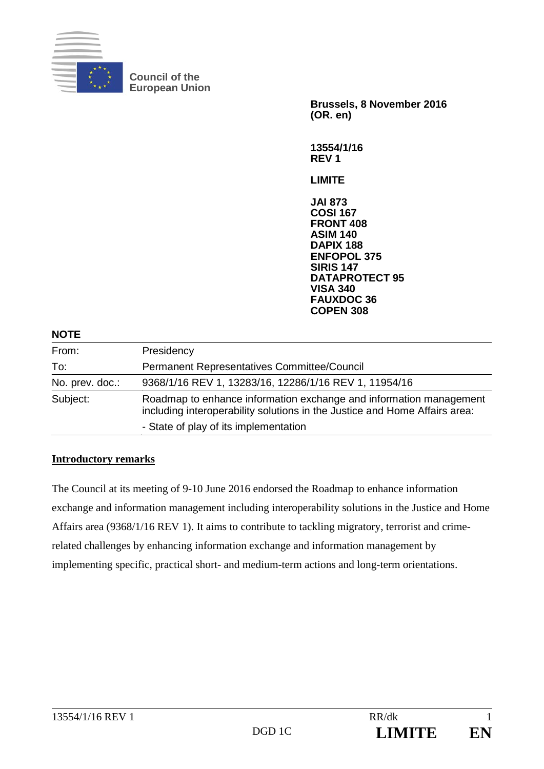

**Council of the European Union** 

> **Brussels, 8 November 2016 (OR. en)**

**13554/1/16 REV 1** 

**LIMITE** 

**JAI 873 COSI 167 FRONT 408 ASIM 140 DAPIX 188 ENFOPOL 375 SIRIS 147 DATAPROTECT 95 VISA 340 FAUXDOC 36 COPEN 308**

## **NOTE**

| From:           | Presidency                                                                                                                                       |
|-----------------|--------------------------------------------------------------------------------------------------------------------------------------------------|
| To:             | Permanent Representatives Committee/Council                                                                                                      |
| No. prev. doc.: | 9368/1/16 REV 1, 13283/16, 12286/1/16 REV 1, 11954/16                                                                                            |
| Subject:        | Roadmap to enhance information exchange and information management<br>including interoperability solutions in the Justice and Home Affairs area: |
|                 | - State of play of its implementation                                                                                                            |

## **Introductory remarks**

The Council at its meeting of 9-10 June 2016 endorsed the Roadmap to enhance information exchange and information management including interoperability solutions in the Justice and Home Affairs area (9368/1/16 REV 1). It aims to contribute to tackling migratory, terrorist and crimerelated challenges by enhancing information exchange and information management by implementing specific, practical short- and medium-term actions and long-term orientations.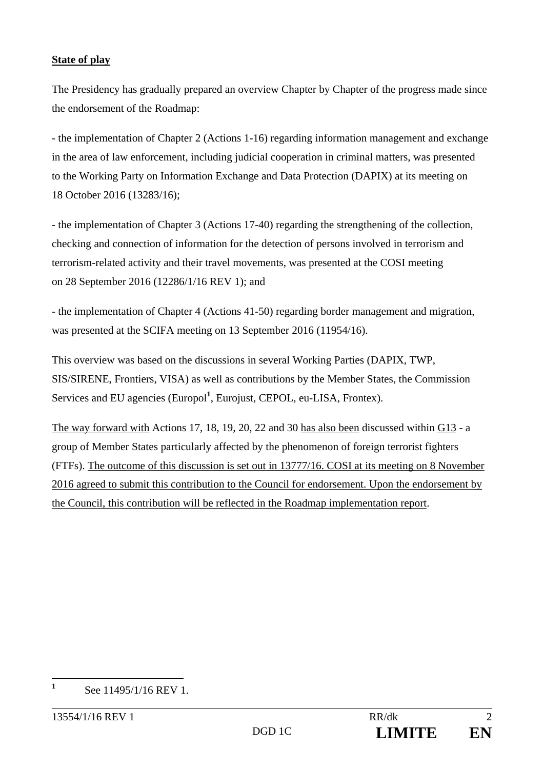## **State of play**

The Presidency has gradually prepared an overview Chapter by Chapter of the progress made since the endorsement of the Roadmap:

- the implementation of Chapter 2 (Actions 1-16) regarding information management and exchange in the area of law enforcement, including judicial cooperation in criminal matters, was presented to the Working Party on Information Exchange and Data Protection (DAPIX) at its meeting on 18 October 2016 (13283/16);

- the implementation of Chapter 3 (Actions 17-40) regarding the strengthening of the collection, checking and connection of information for the detection of persons involved in terrorism and terrorism-related activity and their travel movements, was presented at the COSI meeting on 28 September 2016 (12286/1/16 REV 1); and

- the implementation of Chapter 4 (Actions 41-50) regarding border management and migration, was presented at the SCIFA meeting on 13 September 2016 (11954/16).

This overview was based on the discussions in several Working Parties (DAPIX, TWP, SIS/SIRENE, Frontiers, VISA) as well as contributions by the Member States, the Commission Services and EU agencies (Europol<sup>1</sup>, Eurojust, CEPOL, eu-LISA, Frontex).

The way forward with Actions 17, 18, 19, 20, 22 and 30 has also been discussed within G13 - a group of Member States particularly affected by the phenomenon of foreign terrorist fighters (FTFs). The outcome of this discussion is set out in 13777/16. COSI at its meeting on 8 November 2016 agreed to submit this contribution to the Council for endorsement. Upon the endorsement by the Council, this contribution will be reflected in the Roadmap implementation report.

**1**

See 11495/1/16 REV 1.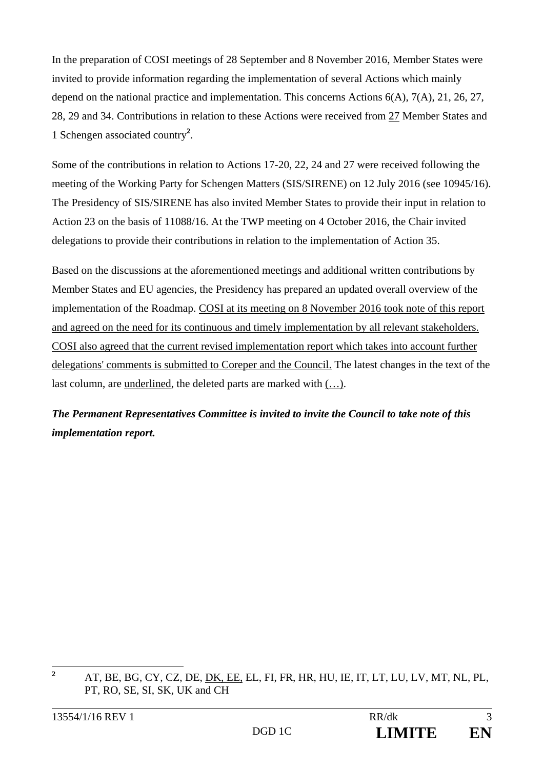In the preparation of COSI meetings of 28 September and 8 November 2016, Member States were invited to provide information regarding the implementation of several Actions which mainly depend on the national practice and implementation. This concerns Actions 6(A), 7(A), 21, 26, 27, 28, 29 and 34. Contributions in relation to these Actions were received from 27 Member States and 1 Schengen associated country**<sup>2</sup>** .

Some of the contributions in relation to Actions 17-20, 22, 24 and 27 were received following the meeting of the Working Party for Schengen Matters (SIS/SIRENE) on 12 July 2016 (see 10945/16). The Presidency of SIS/SIRENE has also invited Member States to provide their input in relation to Action 23 on the basis of 11088/16. At the TWP meeting on 4 October 2016, the Chair invited delegations to provide their contributions in relation to the implementation of Action 35.

Based on the discussions at the aforementioned meetings and additional written contributions by Member States and EU agencies, the Presidency has prepared an updated overall overview of the implementation of the Roadmap. COSI at its meeting on 8 November 2016 took note of this report and agreed on the need for its continuous and timely implementation by all relevant stakeholders. COSI also agreed that the current revised implementation report which takes into account further delegations' comments is submitted to Coreper and the Council. The latest changes in the text of the last column, are underlined, the deleted parts are marked with (…).

*The Permanent Representatives Committee is invited to invite the Council to take note of this implementation report.* 

 **2** AT, BE, BG, CY, CZ, DE, DK, EE, EL, FI, FR, HR, HU, IE, IT, LT, LU, LV, MT, NL, PL, PT, RO, SE, SI, SK, UK and CH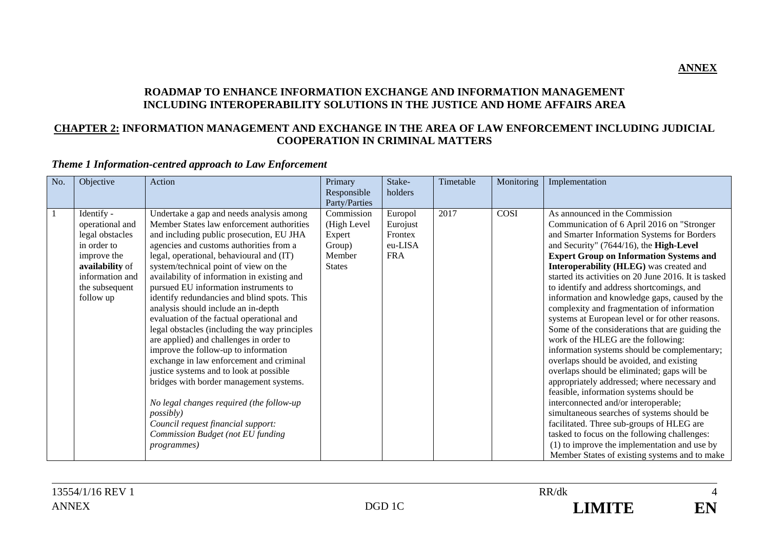### **ROADMAP TO ENHANCE INFORMATION EXCHANGE AND INFORMATION MANAGEMENT INCLUDING INTEROPERABILITY SOLUTIONS IN THE JUSTICE AND HOME AFFAIRS AREA**

### **CHAPTER 2: INFORMATION MANAGEMENT AND EXCHANGE IN THE AREA OF LAW ENFORCEMENT INCLUDING JUDICIAL COOPERATION IN CRIMINAL MATTERS**

## *Theme 1 Information-centred approach to Law Enforcement*

| No. | Objective                                                                                                                                           | Action                                                                                                                                                                                                                                                                                                                                                                                                                                                                                                                                                                                                                                                                                                                                                                                                                                                                                                                                | Primary<br>Responsible<br>Party/Parties                                  | Stake-<br>holders                                       | Timetable | Monitoring | Implementation                                                                                                                                                                                                                                                                                                                                                                                                                                                                                                                                                                                                                                                                                                                                                                                                                                                                                                                                                                                                                                                                                                                                    |
|-----|-----------------------------------------------------------------------------------------------------------------------------------------------------|---------------------------------------------------------------------------------------------------------------------------------------------------------------------------------------------------------------------------------------------------------------------------------------------------------------------------------------------------------------------------------------------------------------------------------------------------------------------------------------------------------------------------------------------------------------------------------------------------------------------------------------------------------------------------------------------------------------------------------------------------------------------------------------------------------------------------------------------------------------------------------------------------------------------------------------|--------------------------------------------------------------------------|---------------------------------------------------------|-----------|------------|---------------------------------------------------------------------------------------------------------------------------------------------------------------------------------------------------------------------------------------------------------------------------------------------------------------------------------------------------------------------------------------------------------------------------------------------------------------------------------------------------------------------------------------------------------------------------------------------------------------------------------------------------------------------------------------------------------------------------------------------------------------------------------------------------------------------------------------------------------------------------------------------------------------------------------------------------------------------------------------------------------------------------------------------------------------------------------------------------------------------------------------------------|
| -1  | Identify -<br>operational and<br>legal obstacles<br>in order to<br>improve the<br>availability of<br>information and<br>the subsequent<br>follow up | Undertake a gap and needs analysis among<br>Member States law enforcement authorities<br>and including public prosecution, EU JHA<br>agencies and customs authorities from a<br>legal, operational, behavioural and (IT)<br>system/technical point of view on the<br>availability of information in existing and<br>pursued EU information instruments to<br>identify redundancies and blind spots. This<br>analysis should include an in-depth<br>evaluation of the factual operational and<br>legal obstacles (including the way principles<br>are applied) and challenges in order to<br>improve the follow-up to information<br>exchange in law enforcement and criminal<br>justice systems and to look at possible<br>bridges with border management systems.<br>No legal changes required (the follow-up<br><i>possibly</i> )<br>Council request financial support:<br>Commission Budget (not EU funding<br><i>programmes</i> ) | Commission<br>(High Level<br>Expert<br>Group)<br>Member<br><b>States</b> | Europol<br>Eurojust<br>Frontex<br>eu-LISA<br><b>FRA</b> | 2017      | COSI       | As announced in the Commission<br>Communication of 6 April 2016 on "Stronger<br>and Smarter Information Systems for Borders<br>and Security" (7644/16), the High-Level<br><b>Expert Group on Information Systems and</b><br>Interoperability (HLEG) was created and<br>started its activities on 20 June 2016. It is tasked<br>to identify and address shortcomings, and<br>information and knowledge gaps, caused by the<br>complexity and fragmentation of information<br>systems at European level or for other reasons.<br>Some of the considerations that are guiding the<br>work of the HLEG are the following:<br>information systems should be complementary;<br>overlaps should be avoided, and existing<br>overlaps should be eliminated; gaps will be<br>appropriately addressed; where necessary and<br>feasible, information systems should be<br>interconnected and/or interoperable;<br>simultaneous searches of systems should be<br>facilitated. Three sub-groups of HLEG are<br>tasked to focus on the following challenges:<br>$(1)$ to improve the implementation and use by<br>Member States of existing systems and to make |

**ANNEX**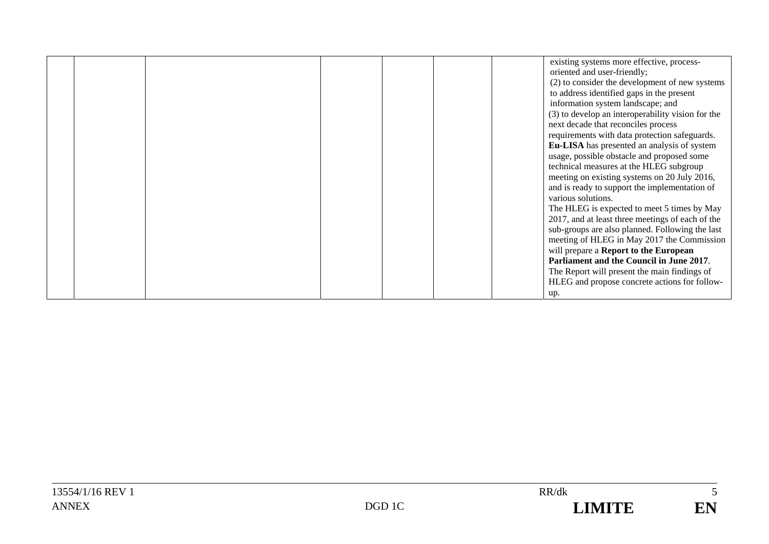|  |  |  | existing systems more effective, process-<br>oriented and user-friendly;       |
|--|--|--|--------------------------------------------------------------------------------|
|  |  |  | (2) to consider the development of new systems                                 |
|  |  |  | to address identified gaps in the present<br>information system landscape; and |
|  |  |  | (3) to develop an interoperability vision for the                              |
|  |  |  | next decade that reconciles process                                            |
|  |  |  | requirements with data protection safeguards.                                  |
|  |  |  | Eu-LISA has presented an analysis of system                                    |
|  |  |  | usage, possible obstacle and proposed some                                     |
|  |  |  | technical measures at the HLEG subgroup                                        |
|  |  |  | meeting on existing systems on 20 July 2016,                                   |
|  |  |  | and is ready to support the implementation of                                  |
|  |  |  | various solutions.                                                             |
|  |  |  | The HLEG is expected to meet 5 times by May                                    |
|  |  |  | 2017, and at least three meetings of each of the                               |
|  |  |  | sub-groups are also planned. Following the last                                |
|  |  |  | meeting of HLEG in May 2017 the Commission                                     |
|  |  |  | will prepare a Report to the European                                          |
|  |  |  | Parliament and the Council in June 2017.                                       |
|  |  |  | The Report will present the main findings of                                   |
|  |  |  | HLEG and propose concrete actions for follow-                                  |
|  |  |  | up.                                                                            |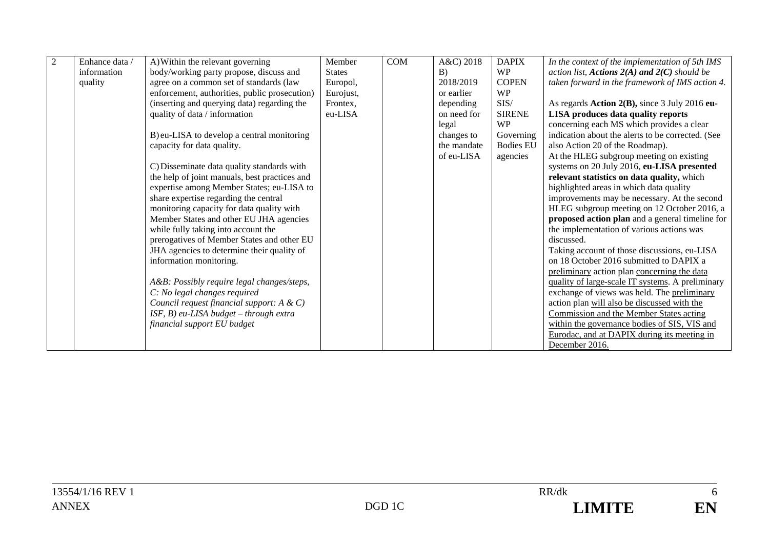| 2 | Enhance data / | A) Within the relevant governing              | Member        | <b>COM</b> | A&C) 2018   | <b>DAPIX</b>     | In the context of the implementation of 5th IMS   |
|---|----------------|-----------------------------------------------|---------------|------------|-------------|------------------|---------------------------------------------------|
|   | information    | body/working party propose, discuss and       | <b>States</b> |            | B)          | <b>WP</b>        | action list, Actions $2(A)$ and $2(C)$ should be  |
|   | quality        | agree on a common set of standards (law       | Europol,      |            | 2018/2019   | <b>COPEN</b>     | taken forward in the framework of IMS action 4.   |
|   |                | enforcement, authorities, public prosecution) | Eurojust,     |            | or earlier  | <b>WP</b>        |                                                   |
|   |                | (inserting and querying data) regarding the   | Frontex,      |            | depending   | SIS/             | As regards Action 2(B), since 3 July 2016 eu-     |
|   |                | quality of data / information                 | eu-LISA       |            | on need for | <b>SIRENE</b>    | LISA produces data quality reports                |
|   |                |                                               |               |            | legal       | <b>WP</b>        | concerning each MS which provides a clear         |
|   |                | B) eu-LISA to develop a central monitoring    |               |            | changes to  | Governing        | indication about the alerts to be corrected. (See |
|   |                | capacity for data quality.                    |               |            | the mandate | <b>Bodies EU</b> | also Action 20 of the Roadmap).                   |
|   |                |                                               |               |            | of eu-LISA  | agencies         | At the HLEG subgroup meeting on existing          |
|   |                | C) Disseminate data quality standards with    |               |            |             |                  | systems on 20 July 2016, eu-LISA presented        |
|   |                | the help of joint manuals, best practices and |               |            |             |                  | relevant statistics on data quality, which        |
|   |                | expertise among Member States; eu-LISA to     |               |            |             |                  | highlighted areas in which data quality           |
|   |                | share expertise regarding the central         |               |            |             |                  | improvements may be necessary. At the second      |
|   |                | monitoring capacity for data quality with     |               |            |             |                  | HLEG subgroup meeting on 12 October 2016, a       |
|   |                | Member States and other EU JHA agencies       |               |            |             |                  | proposed action plan and a general timeline for   |
|   |                | while fully taking into account the           |               |            |             |                  | the implementation of various actions was         |
|   |                | prerogatives of Member States and other EU    |               |            |             |                  | discussed.                                        |
|   |                | JHA agencies to determine their quality of    |               |            |             |                  | Taking account of those discussions, eu-LISA      |
|   |                | information monitoring.                       |               |            |             |                  | on 18 October 2016 submitted to DAPIX a           |
|   |                |                                               |               |            |             |                  | preliminary action plan concerning the data       |
|   |                | A&B: Possibly require legal changes/steps,    |               |            |             |                  | quality of large-scale IT systems. A preliminary  |
|   |                | C: No legal changes required                  |               |            |             |                  | exchange of views was held. The preliminary       |
|   |                | Council request financial support: $A \& C$ ) |               |            |             |                  | action plan will also be discussed with the       |
|   |                | ISF, B) eu-LISA budget - through extra        |               |            |             |                  | Commission and the Member States acting           |
|   |                | financial support EU budget                   |               |            |             |                  | within the governance bodies of SIS, VIS and      |
|   |                |                                               |               |            |             |                  | Eurodac, and at DAPIX during its meeting in       |
|   |                |                                               |               |            |             |                  | December 2016.                                    |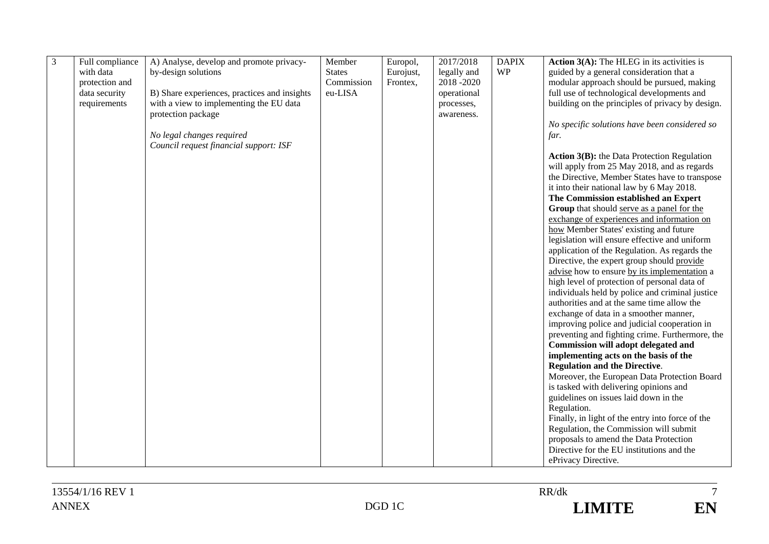| 3<br>Full compliance<br>A) Analyse, develop and promote privacy-<br>Member<br>Europol,<br>2017/2018<br><b>DAPIX</b><br><b>Action 3(A):</b> The HLEG in its activities is |  |
|--------------------------------------------------------------------------------------------------------------------------------------------------------------------------|--|
| <b>WP</b><br>with data<br>by-design solutions<br><b>States</b><br>legally and<br>guided by a general consideration that a<br>Eurojust,                                   |  |
| Commission<br>modular approach should be pursued, making<br>2018-2020<br>protection and<br>Frontex,                                                                      |  |
| eu-LISA<br>full use of technological developments and<br>data security<br>B) Share experiences, practices and insights<br>operational                                    |  |
| building on the principles of privacy by design.<br>with a view to implementing the EU data<br>requirements<br>processes,                                                |  |
| protection package<br>awareness.                                                                                                                                         |  |
| No specific solutions have been considered so                                                                                                                            |  |
| No legal changes required<br>far.                                                                                                                                        |  |
| Council request financial support: ISF                                                                                                                                   |  |
| <b>Action 3(B):</b> the Data Protection Regulation                                                                                                                       |  |
| will apply from 25 May 2018, and as regards                                                                                                                              |  |
| the Directive, Member States have to transpose                                                                                                                           |  |
| it into their national law by 6 May 2018.                                                                                                                                |  |
| The Commission established an Expert                                                                                                                                     |  |
| Group that should serve as a panel for the                                                                                                                               |  |
| exchange of experiences and information on                                                                                                                               |  |
| how Member States' existing and future                                                                                                                                   |  |
| legislation will ensure effective and uniform                                                                                                                            |  |
| application of the Regulation. As regards the                                                                                                                            |  |
| Directive, the expert group should provide                                                                                                                               |  |
| advise how to ensure by its implementation a                                                                                                                             |  |
| high level of protection of personal data of                                                                                                                             |  |
| individuals held by police and criminal justice                                                                                                                          |  |
| authorities and at the same time allow the                                                                                                                               |  |
| exchange of data in a smoother manner,                                                                                                                                   |  |
| improving police and judicial cooperation in                                                                                                                             |  |
| preventing and fighting crime. Furthermore, the                                                                                                                          |  |
| <b>Commission will adopt delegated and</b>                                                                                                                               |  |
| implementing acts on the basis of the                                                                                                                                    |  |
| <b>Regulation and the Directive.</b>                                                                                                                                     |  |
| Moreover, the European Data Protection Board                                                                                                                             |  |
| is tasked with delivering opinions and                                                                                                                                   |  |
| guidelines on issues laid down in the                                                                                                                                    |  |
| Regulation.                                                                                                                                                              |  |
| Finally, in light of the entry into force of the                                                                                                                         |  |
| Regulation, the Commission will submit                                                                                                                                   |  |
| proposals to amend the Data Protection                                                                                                                                   |  |
| Directive for the EU institutions and the                                                                                                                                |  |
| ePrivacy Directive.                                                                                                                                                      |  |

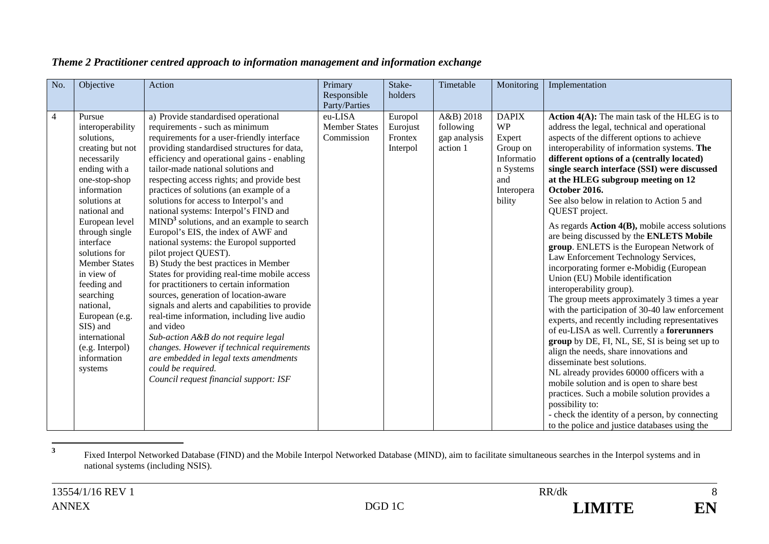| No.            | Objective                                                                                                                                                                                                                                                                                                                                                                                                 | Action                                                                                                                                                                                                                                                                                                                                                                                                                                                                                                                                                                                                                                                                                                                                                                                                                                                                                                                                                                                                                                                                                             | Primary<br>Responsible<br>Party/Parties       | Stake-<br>holders                          | Timetable                                          | Monitoring                                                                                                | Implementation                                                                                                                                                                                                                                                                                                                                                                                                                                                                                                                                                                                                                                                                                                                                                                                                                                                                                                                                                                                                                                                                                                                                                                                                                                                                                                          |
|----------------|-----------------------------------------------------------------------------------------------------------------------------------------------------------------------------------------------------------------------------------------------------------------------------------------------------------------------------------------------------------------------------------------------------------|----------------------------------------------------------------------------------------------------------------------------------------------------------------------------------------------------------------------------------------------------------------------------------------------------------------------------------------------------------------------------------------------------------------------------------------------------------------------------------------------------------------------------------------------------------------------------------------------------------------------------------------------------------------------------------------------------------------------------------------------------------------------------------------------------------------------------------------------------------------------------------------------------------------------------------------------------------------------------------------------------------------------------------------------------------------------------------------------------|-----------------------------------------------|--------------------------------------------|----------------------------------------------------|-----------------------------------------------------------------------------------------------------------|-------------------------------------------------------------------------------------------------------------------------------------------------------------------------------------------------------------------------------------------------------------------------------------------------------------------------------------------------------------------------------------------------------------------------------------------------------------------------------------------------------------------------------------------------------------------------------------------------------------------------------------------------------------------------------------------------------------------------------------------------------------------------------------------------------------------------------------------------------------------------------------------------------------------------------------------------------------------------------------------------------------------------------------------------------------------------------------------------------------------------------------------------------------------------------------------------------------------------------------------------------------------------------------------------------------------------|
| $\overline{4}$ | Pursue<br>interoperability<br>solutions,<br>creating but not<br>necessarily<br>ending with a<br>one-stop-shop<br>information<br>solutions at<br>national and<br>European level<br>through single<br>interface<br>solutions for<br><b>Member States</b><br>in view of<br>feeding and<br>searching<br>national,<br>European (e.g.<br>SIS) and<br>international<br>(e.g. Interpol)<br>information<br>systems | a) Provide standardised operational<br>requirements - such as minimum<br>requirements for a user-friendly interface<br>providing standardised structures for data,<br>efficiency and operational gains - enabling<br>tailor-made national solutions and<br>respecting access rights; and provide best<br>practices of solutions (an example of a<br>solutions for access to Interpol's and<br>national systems: Interpol's FIND and<br>MIND <sup>3</sup> solutions, and an example to search<br>Europol's EIS, the index of AWF and<br>national systems: the Europol supported<br>pilot project QUEST).<br>B) Study the best practices in Member<br>States for providing real-time mobile access<br>for practitioners to certain information<br>sources, generation of location-aware<br>signals and alerts and capabilities to provide<br>real-time information, including live audio<br>and video<br>Sub-action A&B do not require legal<br>changes. However if technical requirements<br>are embedded in legal texts amendments<br>could be required.<br>Council request financial support: ISF | eu-LISA<br><b>Member States</b><br>Commission | Europol<br>Eurojust<br>Frontex<br>Interpol | A&B) 2018<br>following<br>gap analysis<br>action 1 | <b>DAPIX</b><br><b>WP</b><br>Expert<br>Group on<br>Informatio<br>n Systems<br>and<br>Interopera<br>bility | <b>Action 4(A):</b> The main task of the HLEG is to<br>address the legal, technical and operational<br>aspects of the different options to achieve<br>interoperability of information systems. The<br>different options of a (centrally located)<br>single search interface (SSI) were discussed<br>at the HLEG subgroup meeting on 12<br>October 2016.<br>See also below in relation to Action 5 and<br>QUEST project.<br>As regards Action 4(B), mobile access solutions<br>are being discussed by the ENLETS Mobile<br>group. ENLETS is the European Network of<br>Law Enforcement Technology Services,<br>incorporating former e-Mobidig (European<br>Union (EU) Mobile identification<br>interoperability group).<br>The group meets approximately 3 times a year<br>with the participation of 30-40 law enforcement<br>experts, and recently including representatives<br>of eu-LISA as well. Currently a forerunners<br>group by DE, FI, NL, SE, SI is being set up to<br>align the needs, share innovations and<br>disseminate best solutions.<br>NL already provides 60000 officers with a<br>mobile solution and is open to share best<br>practices. Such a mobile solution provides a<br>possibility to:<br>- check the identity of a person, by connecting<br>to the police and justice databases using the |

## *Theme 2 Practitioner centred approach to information management and information exchange*

**<sup>3</sup>** Fixed Interpol Networked Database (FIND) and the Mobile Interpol Networked Database (MIND), aim to facilitate simultaneous searches in the Interpol systems and in national systems (including NSIS).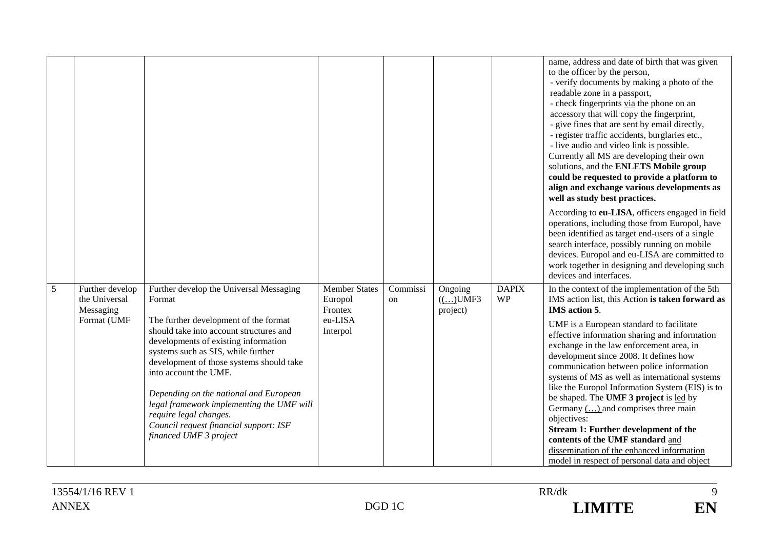|   |                                                              |                                                                                                                                                                                                                                                                                                                                                                                                                                                                               |                                                                   |                |                                 |                           | name, address and date of birth that was given<br>to the officer by the person,<br>- verify documents by making a photo of the<br>readable zone in a passport,<br>- check fingerprints via the phone on an<br>accessory that will copy the fingerprint,<br>- give fines that are sent by email directly,<br>- register traffic accidents, burglaries etc.,<br>- live audio and video link is possible.<br>Currently all MS are developing their own<br>solutions, and the ENLETS Mobile group<br>could be requested to provide a platform to<br>align and exchange various developments as<br>well as study best practices.                                                                                                              |
|---|--------------------------------------------------------------|-------------------------------------------------------------------------------------------------------------------------------------------------------------------------------------------------------------------------------------------------------------------------------------------------------------------------------------------------------------------------------------------------------------------------------------------------------------------------------|-------------------------------------------------------------------|----------------|---------------------------------|---------------------------|------------------------------------------------------------------------------------------------------------------------------------------------------------------------------------------------------------------------------------------------------------------------------------------------------------------------------------------------------------------------------------------------------------------------------------------------------------------------------------------------------------------------------------------------------------------------------------------------------------------------------------------------------------------------------------------------------------------------------------------|
|   |                                                              |                                                                                                                                                                                                                                                                                                                                                                                                                                                                               |                                                                   |                |                                 |                           | According to eu-LISA, officers engaged in field<br>operations, including those from Europol, have<br>been identified as target end-users of a single<br>search interface, possibly running on mobile<br>devices. Europol and eu-LISA are committed to<br>work together in designing and developing such<br>devices and interfaces.                                                                                                                                                                                                                                                                                                                                                                                                       |
| 5 | Further develop<br>the Universal<br>Messaging<br>Format (UMF | Further develop the Universal Messaging<br>Format<br>The further development of the format<br>should take into account structures and<br>developments of existing information<br>systems such as SIS, while further<br>development of those systems should take<br>into account the UMF.<br>Depending on the national and European<br>legal framework implementing the UMF will<br>require legal changes.<br>Council request financial support: ISF<br>financed UMF 3 project | <b>Member States</b><br>Europol<br>Frontex<br>eu-LISA<br>Interpol | Commissi<br>on | Ongoing<br>(()UMF3)<br>project) | <b>DAPIX</b><br><b>WP</b> | In the context of the implementation of the 5th<br>IMS action list, this Action is taken forward as<br>IMS action 5.<br>UMF is a European standard to facilitate<br>effective information sharing and information<br>exchange in the law enforcement area, in<br>development since 2008. It defines how<br>communication between police information<br>systems of MS as well as international systems<br>like the Europol Information System (EIS) is to<br>be shaped. The UMF 3 project is led by<br>Germany $(\dots)$ and comprises three main<br>objectives:<br>Stream 1: Further development of the<br>contents of the UMF standard and<br>dissemination of the enhanced information<br>model in respect of personal data and object |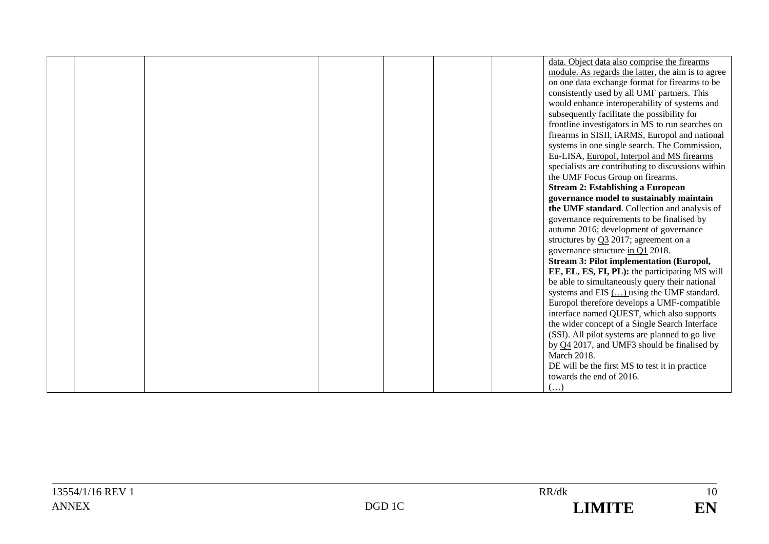|  |  |  | data. Object data also comprise the firearms       |
|--|--|--|----------------------------------------------------|
|  |  |  | module. As regards the latter, the aim is to agree |
|  |  |  | on one data exchange format for firearms to be     |
|  |  |  | consistently used by all UMF partners. This        |
|  |  |  | would enhance interoperability of systems and      |
|  |  |  | subsequently facilitate the possibility for        |
|  |  |  | frontline investigators in MS to run searches on   |
|  |  |  | firearms in SISII, iARMS, Europol and national     |
|  |  |  | systems in one single search. The Commission,      |
|  |  |  | Eu-LISA, Europol, Interpol and MS firearms         |
|  |  |  | specialists are contributing to discussions within |
|  |  |  | the UMF Focus Group on firearms.                   |
|  |  |  | <b>Stream 2: Establishing a European</b>           |
|  |  |  | governance model to sustainably maintain           |
|  |  |  | the UMF standard. Collection and analysis of       |
|  |  |  | governance requirements to be finalised by         |
|  |  |  | autumn 2016; development of governance             |
|  |  |  | structures by $Q3$ 2017; agreement on a            |
|  |  |  | governance structure in Q1 2018.                   |
|  |  |  | <b>Stream 3: Pilot implementation (Europol,</b>    |
|  |  |  | EE, EL, ES, FI, PL): the participating MS will     |
|  |  |  | be able to simultaneously query their national     |
|  |  |  | systems and EIS $(\dots)$ using the UMF standard.  |
|  |  |  | Europol therefore develops a UMF-compatible        |
|  |  |  | interface named QUEST, which also supports         |
|  |  |  | the wider concept of a Single Search Interface     |
|  |  |  | (SSI). All pilot systems are planned to go live    |
|  |  |  | by $Q4$ 2017, and UMF3 should be finalised by      |
|  |  |  | <b>March 2018.</b>                                 |
|  |  |  | DE will be the first MS to test it in practice     |
|  |  |  | towards the end of 2016.                           |
|  |  |  | $(\ldots)$                                         |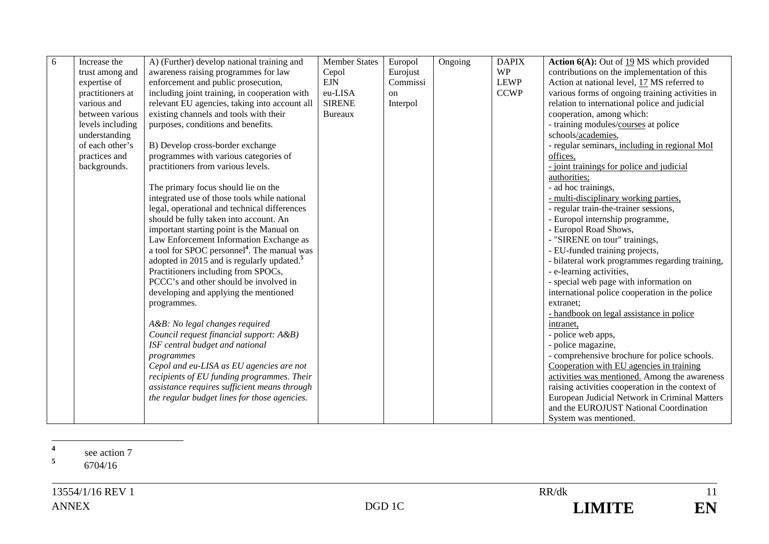| $\sqrt{6}$ | Increase the     | A) (Further) develop national training and              | <b>Member States</b> | Europol  | Ongoing | <b>DAPIX</b> | <b>Action 6(A):</b> Out of $19$ MS which provided                                       |
|------------|------------------|---------------------------------------------------------|----------------------|----------|---------|--------------|-----------------------------------------------------------------------------------------|
|            | trust among and  | awareness raising programmes for law                    | Cepol                | Eurojust |         | <b>WP</b>    | contributions on the implementation of this                                             |
|            | expertise of     | enforcement and public prosecution,                     | <b>EJN</b>           | Commissi |         | <b>LEWP</b>  | Action at national level, 17 MS referred to                                             |
|            | practitioners at | including joint training, in cooperation with           | eu-LISA              | on       |         | <b>CCWP</b>  | various forms of ongoing training activities in                                         |
|            | various and      | relevant EU agencies, taking into account all           | <b>SIRENE</b>        | Interpol |         |              | relation to international police and judicial                                           |
|            | between various  | existing channels and tools with their                  | <b>Bureaux</b>       |          |         |              | cooperation, among which:                                                               |
|            | levels including | purposes, conditions and benefits.                      |                      |          |         |              | - training modules/courses at police                                                    |
|            | understanding    |                                                         |                      |          |         |              | schools/academies,                                                                      |
|            | of each other's  | B) Develop cross-border exchange                        |                      |          |         |              | - regular seminars, including in regional MoI                                           |
|            | practices and    | programmes with various categories of                   |                      |          |         |              | offices,                                                                                |
|            | backgrounds.     | practitioners from various levels.                      |                      |          |         |              | - joint trainings for police and judicial                                               |
|            |                  |                                                         |                      |          |         |              | authorities;                                                                            |
|            |                  | The primary focus should lie on the                     |                      |          |         |              | - ad hoc trainings,                                                                     |
|            |                  | integrated use of those tools while national            |                      |          |         |              | - multi-disciplinary working parties,                                                   |
|            |                  | legal, operational and technical differences            |                      |          |         |              | - regular train-the-trainer sessions,                                                   |
|            |                  | should be fully taken into account. An                  |                      |          |         |              | - Europol internship programme,                                                         |
|            |                  | important starting point is the Manual on               |                      |          |         |              | - Europol Road Shows,                                                                   |
|            |                  | Law Enforcement Information Exchange as                 |                      |          |         |              | - "SIRENE on tour" trainings,                                                           |
|            |                  | a tool for SPOC personnel <sup>4</sup> . The manual was |                      |          |         |              | - EU-funded training projects,                                                          |
|            |                  | adopted in 2015 and is regularly updated. <sup>5</sup>  |                      |          |         |              | - bilateral work programmes regarding training,                                         |
|            |                  | Practitioners including from SPOCs,                     |                      |          |         |              | - e-learning activities,                                                                |
|            |                  | PCCC's and other should be involved in                  |                      |          |         |              | - special web page with information on                                                  |
|            |                  | developing and applying the mentioned                   |                      |          |         |              | international police cooperation in the police                                          |
|            |                  | programmes.                                             |                      |          |         |              | extranet;                                                                               |
|            |                  |                                                         |                      |          |         |              | - handbook on legal assistance in police                                                |
|            |                  | A&B: No legal changes required                          |                      |          |         |              | intranet.                                                                               |
|            |                  | Council request financial support: A&B)                 |                      |          |         |              | - police web apps,                                                                      |
|            |                  | ISF central budget and national                         |                      |          |         |              | - police magazine,                                                                      |
|            |                  | programmes                                              |                      |          |         |              | - comprehensive brochure for police schools.                                            |
|            |                  | Cepol and eu-LISA as EU agencies are not                |                      |          |         |              | Cooperation with EU agencies in training                                                |
|            |                  | recipients of EU funding programmes. Their              |                      |          |         |              | activities was mentioned. Among the awareness                                           |
|            |                  | assistance requires sufficient means through            |                      |          |         |              | raising activities cooperation in the context of                                        |
|            |                  | the regular budget lines for those agencies.            |                      |          |         |              | European Judicial Network in Criminal Matters<br>and the EUROJUST National Coordination |
|            |                  |                                                         |                      |          |         |              |                                                                                         |
|            |                  |                                                         |                      |          |         |              | System was mentioned.                                                                   |

**4**<sup>4</sup> see action 7 **5**

6704/16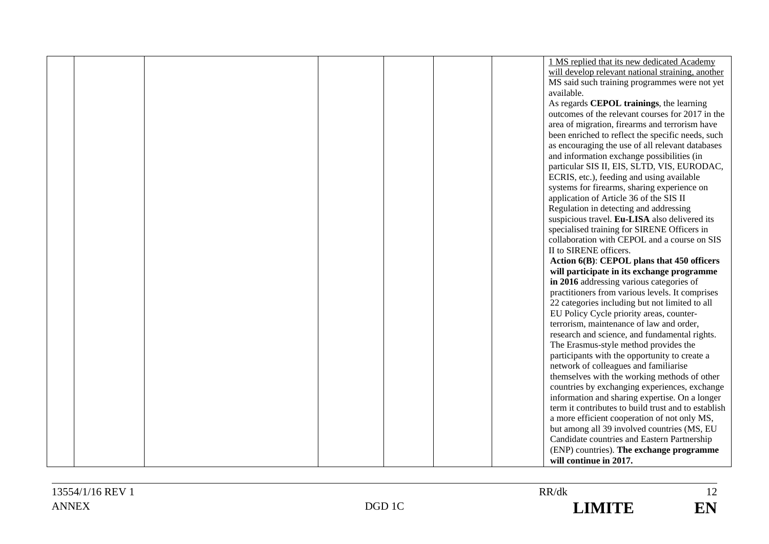|  |  |  | 1 MS replied that its new dedicated Academy                                                 |
|--|--|--|---------------------------------------------------------------------------------------------|
|  |  |  | will develop relevant national straining, another                                           |
|  |  |  | MS said such training programmes were not yet                                               |
|  |  |  | available.                                                                                  |
|  |  |  | As regards CEPOL trainings, the learning                                                    |
|  |  |  | outcomes of the relevant courses for 2017 in the                                            |
|  |  |  | area of migration, firearms and terrorism have                                              |
|  |  |  | been enriched to reflect the specific needs, such                                           |
|  |  |  | as encouraging the use of all relevant databases                                            |
|  |  |  | and information exchange possibilities (in                                                  |
|  |  |  | particular SIS II, EIS, SLTD, VIS, EURODAC,                                                 |
|  |  |  | ECRIS, etc.), feeding and using available                                                   |
|  |  |  | systems for firearms, sharing experience on                                                 |
|  |  |  | application of Article 36 of the SIS II                                                     |
|  |  |  | Regulation in detecting and addressing                                                      |
|  |  |  | suspicious travel. Eu-LISA also delivered its                                               |
|  |  |  | specialised training for SIRENE Officers in                                                 |
|  |  |  | collaboration with CEPOL and a course on SIS                                                |
|  |  |  | II to SIRENE officers.                                                                      |
|  |  |  | Action 6(B): CEPOL plans that 450 officers                                                  |
|  |  |  | will participate in its exchange programme                                                  |
|  |  |  | in 2016 addressing various categories of                                                    |
|  |  |  | practitioners from various levels. It comprises                                             |
|  |  |  | 22 categories including but not limited to all                                              |
|  |  |  | EU Policy Cycle priority areas, counter-                                                    |
|  |  |  | terrorism, maintenance of law and order,                                                    |
|  |  |  | research and science, and fundamental rights.                                               |
|  |  |  | The Erasmus-style method provides the                                                       |
|  |  |  | participants with the opportunity to create a                                               |
|  |  |  | network of colleagues and familiarise                                                       |
|  |  |  | themselves with the working methods of other                                                |
|  |  |  | countries by exchanging experiences, exchange                                               |
|  |  |  | information and sharing expertise. On a longer                                              |
|  |  |  | term it contributes to build trust and to establish                                         |
|  |  |  | a more efficient cooperation of not only MS,<br>but among all 39 involved countries (MS, EU |
|  |  |  | Candidate countries and Eastern Partnership                                                 |
|  |  |  | (ENP) countries). The exchange programme                                                    |
|  |  |  | will continue in 2017.                                                                      |
|  |  |  |                                                                                             |

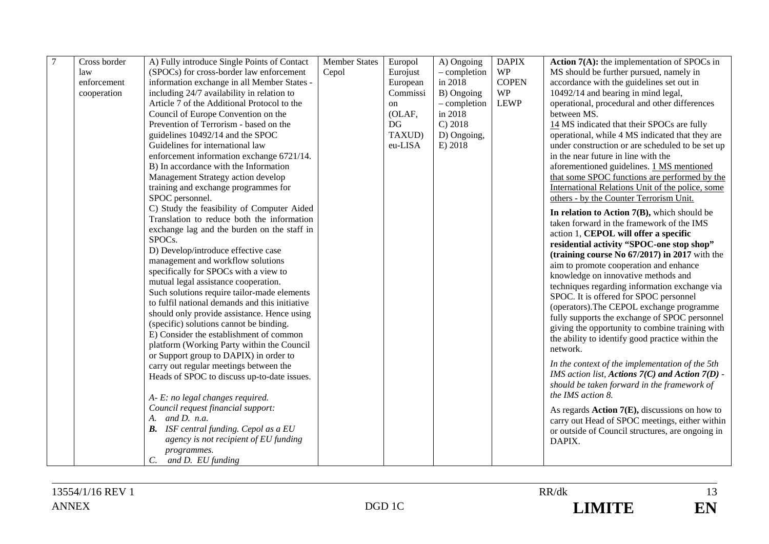| Action $7(A)$ : the implementation of SPOCs in      |
|-----------------------------------------------------|
| MS should be further pursued, namely in             |
| accordance with the guidelines set out in           |
| 10492/14 and bearing in mind legal,                 |
| operational, procedural and other differences       |
|                                                     |
| 14 MS indicated that their SPOCs are fully          |
| operational, while 4 MS indicated that they are     |
| under construction or are scheduled to be set up    |
| in the near future in line with the                 |
| aforementioned guidelines. 1 MS mentioned           |
| that some SPOC functions are performed by the       |
| International Relations Unit of the police, some    |
| others - by the Counter Terrorism Unit.             |
| In relation to Action 7(B), which should be         |
| taken forward in the framework of the IMS           |
| action 1, CEPOL will offer a specific               |
| residential activity "SPOC-one stop shop"           |
| (training course No $67/2017$ ) in 2017 with the    |
| aim to promote cooperation and enhance              |
| knowledge on innovative methods and                 |
| techniques regarding information exchange via       |
| SPOC. It is offered for SPOC personnel              |
| (operators). The CEPOL exchange programme           |
| fully supports the exchange of SPOC personnel       |
| giving the opportunity to combine training with     |
| the ability to identify good practice within the    |
|                                                     |
| In the context of the implementation of the 5th     |
| IMS action list, Actions $7(C)$ and Action $7(D)$ - |
| should be taken forward in the framework of         |
|                                                     |
|                                                     |
| As regards $Action 7(E)$ , discussions on how to    |
| carry out Head of SPOC meetings, either within      |
| or outside of Council structures, are ongoing in    |
|                                                     |
|                                                     |
|                                                     |

13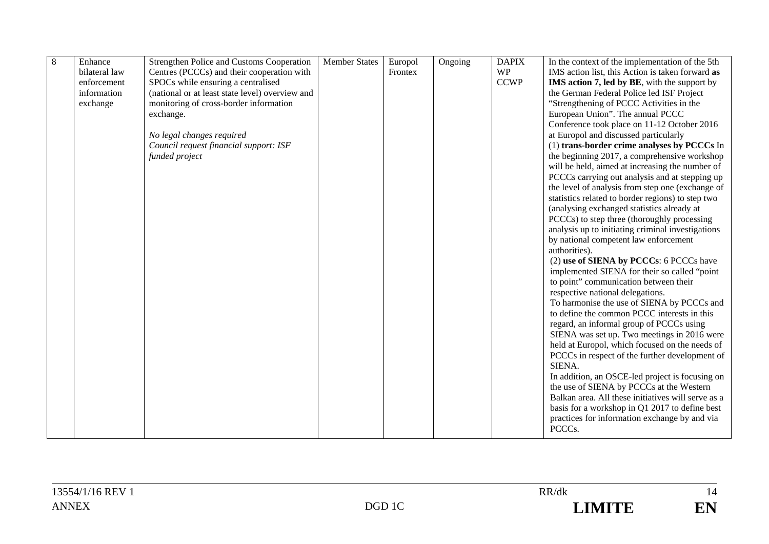| 8 | Enhance       | Strengthen Police and Customs Cooperation       | <b>Member States</b> | Europol | Ongoing | <b>DAPIX</b> | In the context of the implementation of the 5th     |
|---|---------------|-------------------------------------------------|----------------------|---------|---------|--------------|-----------------------------------------------------|
|   | bilateral law | Centres (PCCCs) and their cooperation with      |                      | Frontex |         | <b>WP</b>    | IMS action list, this Action is taken forward as    |
|   | enforcement   | SPOCs while ensuring a centralised              |                      |         |         | <b>CCWP</b>  | <b>IMS</b> action 7, led by BE, with the support by |
|   | information   | (national or at least state level) overview and |                      |         |         |              | the German Federal Police led ISF Project           |
|   | exchange      | monitoring of cross-border information          |                      |         |         |              | "Strengthening of PCCC Activities in the            |
|   |               | exchange.                                       |                      |         |         |              | European Union". The annual PCCC                    |
|   |               |                                                 |                      |         |         |              | Conference took place on 11-12 October 2016         |
|   |               | No legal changes required                       |                      |         |         |              | at Europol and discussed particularly               |
|   |               | Council request financial support: ISF          |                      |         |         |              | (1) trans-border crime analyses by PCCCs In         |
|   |               | funded project                                  |                      |         |         |              | the beginning 2017, a comprehensive workshop        |
|   |               |                                                 |                      |         |         |              | will be held, aimed at increasing the number of     |
|   |               |                                                 |                      |         |         |              | PCCCs carrying out analysis and at stepping up      |
|   |               |                                                 |                      |         |         |              | the level of analysis from step one (exchange of    |
|   |               |                                                 |                      |         |         |              | statistics related to border regions) to step two   |
|   |               |                                                 |                      |         |         |              | (analysing exchanged statistics already at          |
|   |               |                                                 |                      |         |         |              | PCCCs) to step three (thoroughly processing         |
|   |               |                                                 |                      |         |         |              | analysis up to initiating criminal investigations   |
|   |               |                                                 |                      |         |         |              | by national competent law enforcement               |
|   |               |                                                 |                      |         |         |              | authorities).                                       |
|   |               |                                                 |                      |         |         |              | (2) use of SIENA by PCCCs: 6 PCCCs have             |
|   |               |                                                 |                      |         |         |              | implemented SIENA for their so called "point        |
|   |               |                                                 |                      |         |         |              | to point" communication between their               |
|   |               |                                                 |                      |         |         |              | respective national delegations.                    |
|   |               |                                                 |                      |         |         |              | To harmonise the use of SIENA by PCCCs and          |
|   |               |                                                 |                      |         |         |              | to define the common PCCC interests in this         |
|   |               |                                                 |                      |         |         |              | regard, an informal group of PCCCs using            |
|   |               |                                                 |                      |         |         |              | SIENA was set up. Two meetings in 2016 were         |
|   |               |                                                 |                      |         |         |              | held at Europol, which focused on the needs of      |
|   |               |                                                 |                      |         |         |              | PCCCs in respect of the further development of      |
|   |               |                                                 |                      |         |         |              | SIENA.                                              |
|   |               |                                                 |                      |         |         |              | In addition, an OSCE-led project is focusing on     |
|   |               |                                                 |                      |         |         |              | the use of SIENA by PCCCs at the Western            |
|   |               |                                                 |                      |         |         |              | Balkan area. All these initiatives will serve as a  |
|   |               |                                                 |                      |         |         |              | basis for a workshop in Q1 2017 to define best      |
|   |               |                                                 |                      |         |         |              | practices for information exchange by and via       |
|   |               |                                                 |                      |         |         |              | PCCCs.                                              |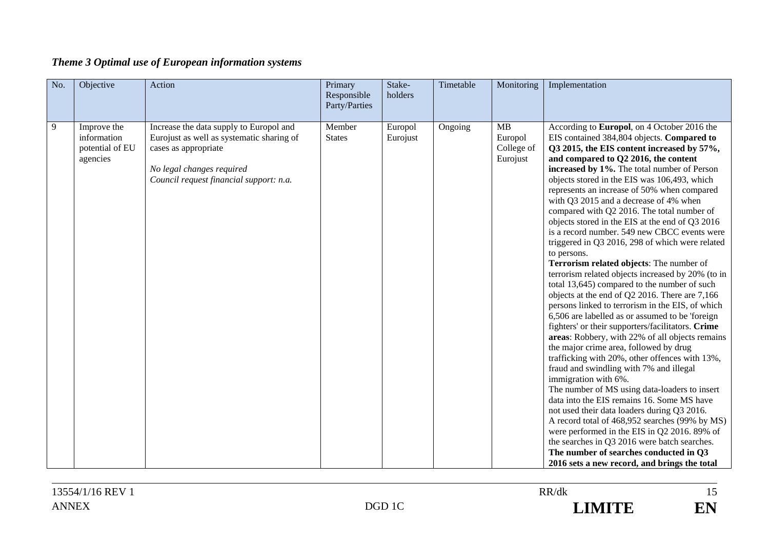| Theme 3 Optimal use of European information systems |  |  |  |
|-----------------------------------------------------|--|--|--|
|                                                     |  |  |  |

| No. | Objective                                                 | Action                                                                                                                                                                               | Primary<br>Responsible<br>Party/Parties | Stake-<br>holders   | Timetable | Monitoring                              | Implementation                                                                                                                                                                                                                                                                                                                                                                                                                                                                                                                                                                                                                                                                                                                                                                                                                                                                                                                                                                                                                                                                                                                                                                                                                                                                                                                                                                                                                                                                                                                                                        |
|-----|-----------------------------------------------------------|--------------------------------------------------------------------------------------------------------------------------------------------------------------------------------------|-----------------------------------------|---------------------|-----------|-----------------------------------------|-----------------------------------------------------------------------------------------------------------------------------------------------------------------------------------------------------------------------------------------------------------------------------------------------------------------------------------------------------------------------------------------------------------------------------------------------------------------------------------------------------------------------------------------------------------------------------------------------------------------------------------------------------------------------------------------------------------------------------------------------------------------------------------------------------------------------------------------------------------------------------------------------------------------------------------------------------------------------------------------------------------------------------------------------------------------------------------------------------------------------------------------------------------------------------------------------------------------------------------------------------------------------------------------------------------------------------------------------------------------------------------------------------------------------------------------------------------------------------------------------------------------------------------------------------------------------|
| 9   | Improve the<br>information<br>potential of EU<br>agencies | Increase the data supply to Europol and<br>Eurojust as well as systematic sharing of<br>cases as appropriate<br>No legal changes required<br>Council request financial support: n.a. | Member<br><b>States</b>                 | Europol<br>Eurojust | Ongoing   | MB<br>Europol<br>College of<br>Eurojust | According to Europol, on 4 October 2016 the<br>EIS contained 384,804 objects. Compared to<br>Q3 2015, the EIS content increased by 57%,<br>and compared to Q2 2016, the content<br>increased by 1%. The total number of Person<br>objects stored in the EIS was 106,493, which<br>represents an increase of 50% when compared<br>with Q3 2015 and a decrease of 4% when<br>compared with Q2 2016. The total number of<br>objects stored in the EIS at the end of Q3 2016<br>is a record number. 549 new CBCC events were<br>triggered in Q3 2016, 298 of which were related<br>to persons.<br>Terrorism related objects: The number of<br>terrorism related objects increased by 20% (to in<br>total 13,645) compared to the number of such<br>objects at the end of Q2 2016. There are 7,166<br>persons linked to terrorism in the EIS, of which<br>6,506 are labelled as or assumed to be 'foreign<br>fighters' or their supporters/facilitators. Crime<br>areas: Robbery, with 22% of all objects remains<br>the major crime area, followed by drug<br>trafficking with 20%, other offences with 13%,<br>fraud and swindling with 7% and illegal<br>immigration with 6%.<br>The number of MS using data-loaders to insert<br>data into the EIS remains 16. Some MS have<br>not used their data loaders during Q3 2016.<br>A record total of 468,952 searches (99% by MS)<br>were performed in the EIS in Q2 2016. 89% of<br>the searches in Q3 2016 were batch searches.<br>The number of searches conducted in Q3<br>2016 sets a new record, and brings the total |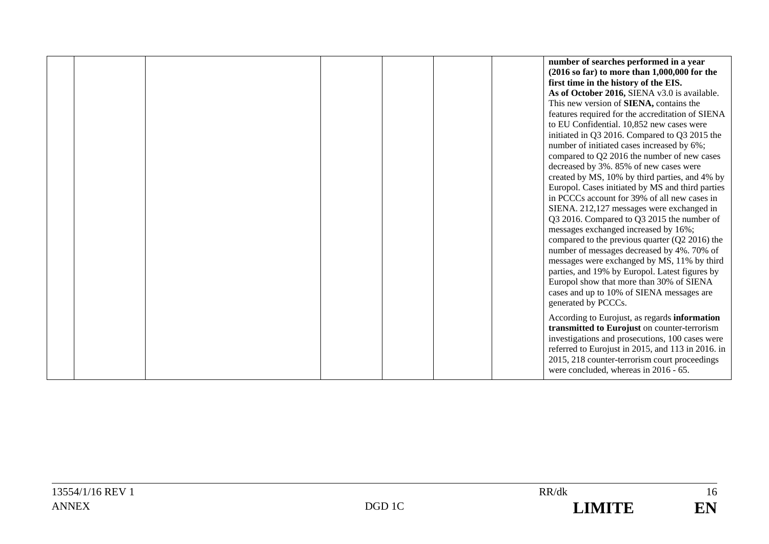|  |  |  | number of searches performed in a year<br>$(2016 \text{ so far})$ to more than 1,000,000 for the<br>first time in the history of the EIS.<br>As of October 2016, SIENA v3.0 is available.<br>This new version of SIENA, contains the<br>features required for the accreditation of SIENA<br>to EU Confidential. 10,852 new cases were<br>initiated in Q3 2016. Compared to Q3 2015 the<br>number of initiated cases increased by 6%;<br>compared to Q2 2016 the number of new cases<br>decreased by 3%. 85% of new cases were<br>created by MS, 10% by third parties, and 4% by<br>Europol. Cases initiated by MS and third parties<br>in PCCCs account for 39% of all new cases in |
|--|--|--|-------------------------------------------------------------------------------------------------------------------------------------------------------------------------------------------------------------------------------------------------------------------------------------------------------------------------------------------------------------------------------------------------------------------------------------------------------------------------------------------------------------------------------------------------------------------------------------------------------------------------------------------------------------------------------------|
|  |  |  | SIENA. 212,127 messages were exchanged in<br>Q3 2016. Compared to Q3 2015 the number of                                                                                                                                                                                                                                                                                                                                                                                                                                                                                                                                                                                             |
|  |  |  | messages exchanged increased by 16%;<br>compared to the previous quarter $(Q2 2016)$ the                                                                                                                                                                                                                                                                                                                                                                                                                                                                                                                                                                                            |
|  |  |  | number of messages decreased by 4%. 70% of<br>messages were exchanged by MS, 11% by third                                                                                                                                                                                                                                                                                                                                                                                                                                                                                                                                                                                           |
|  |  |  | parties, and 19% by Europol. Latest figures by<br>Europol show that more than 30% of SIENA<br>cases and up to 10% of SIENA messages are                                                                                                                                                                                                                                                                                                                                                                                                                                                                                                                                             |
|  |  |  | generated by PCCCs.                                                                                                                                                                                                                                                                                                                                                                                                                                                                                                                                                                                                                                                                 |
|  |  |  | According to Eurojust, as regards information<br>transmitted to Eurojust on counter-terrorism<br>investigations and prosecutions, 100 cases were<br>referred to Eurojust in 2015, and 113 in 2016. in<br>2015, 218 counter-terrorism court proceedings<br>were concluded, whereas in 2016 - 65.                                                                                                                                                                                                                                                                                                                                                                                     |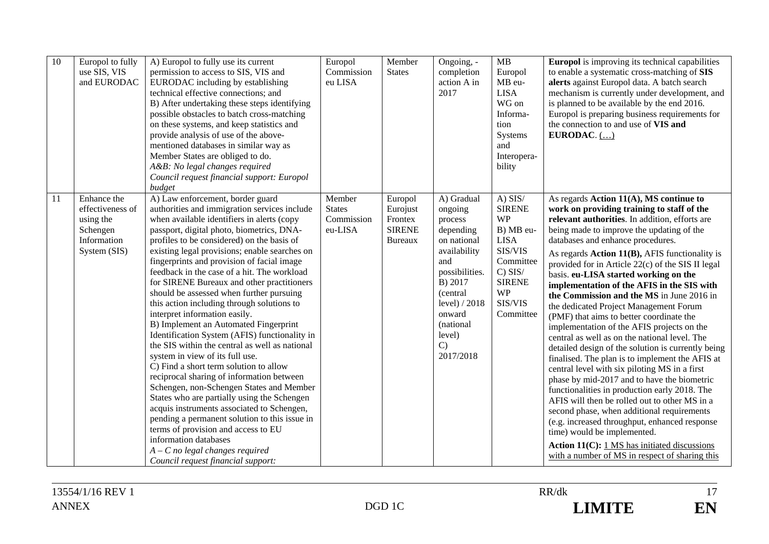| 10 | Europol to fully<br>use SIS, VIS<br>and EURODAC                                         | A) Europol to fully use its current<br>permission to access to SIS, VIS and<br>EURODAC including by establishing<br>technical effective connections; and<br>B) After undertaking these steps identifying<br>possible obstacles to batch cross-matching<br>on these systems, and keep statistics and<br>provide analysis of use of the above-<br>mentioned databases in similar way as<br>Member States are obliged to do.<br>A&B: No legal changes required<br>Council request financial support: Europol<br>budget                                                                                                                                                                                                                                                                                                                                                                                                                                                                                                                                                                                                                                         | Europol<br>Commission<br>eu LISA                 | Member<br><b>States</b>                                           | Ongoing, -<br>completion<br>action A in<br>2017                                                                                                                                                               | MB<br>Europol<br>MB eu-<br><b>LISA</b><br>WG on<br>Informa-<br>tion<br>Systems<br>and<br>Interopera-<br>bility                                                 | <b>Europol</b> is improving its technical capabilities<br>to enable a systematic cross-matching of SIS<br>alerts against Europol data. A batch search<br>mechanism is currently under development, and<br>is planned to be available by the end 2016.<br>Europol is preparing business requirements for<br>the connection to and use of VIS and<br>EURODAC. $()$                                                                                                                                                                                                                                                                                                                                                                                                                                                                                                                                                                                                                                                                                                                                                                                                                                           |
|----|-----------------------------------------------------------------------------------------|-------------------------------------------------------------------------------------------------------------------------------------------------------------------------------------------------------------------------------------------------------------------------------------------------------------------------------------------------------------------------------------------------------------------------------------------------------------------------------------------------------------------------------------------------------------------------------------------------------------------------------------------------------------------------------------------------------------------------------------------------------------------------------------------------------------------------------------------------------------------------------------------------------------------------------------------------------------------------------------------------------------------------------------------------------------------------------------------------------------------------------------------------------------|--------------------------------------------------|-------------------------------------------------------------------|---------------------------------------------------------------------------------------------------------------------------------------------------------------------------------------------------------------|----------------------------------------------------------------------------------------------------------------------------------------------------------------|------------------------------------------------------------------------------------------------------------------------------------------------------------------------------------------------------------------------------------------------------------------------------------------------------------------------------------------------------------------------------------------------------------------------------------------------------------------------------------------------------------------------------------------------------------------------------------------------------------------------------------------------------------------------------------------------------------------------------------------------------------------------------------------------------------------------------------------------------------------------------------------------------------------------------------------------------------------------------------------------------------------------------------------------------------------------------------------------------------------------------------------------------------------------------------------------------------|
| 11 | Enhance the<br>effectiveness of<br>using the<br>Schengen<br>Information<br>System (SIS) | A) Law enforcement, border guard<br>authorities and immigration services include<br>when available identifiers in alerts (copy<br>passport, digital photo, biometrics, DNA-<br>profiles to be considered) on the basis of<br>existing legal provisions; enable searches on<br>fingerprints and provision of facial image<br>feedback in the case of a hit. The workload<br>for SIRENE Bureaux and other practitioners<br>should be assessed when further pursuing<br>this action including through solutions to<br>interpret information easily.<br>B) Implement an Automated Fingerprint<br>Identification System (AFIS) functionality in<br>the SIS within the central as well as national<br>system in view of its full use.<br>C) Find a short term solution to allow<br>reciprocal sharing of information between<br>Schengen, non-Schengen States and Member<br>States who are partially using the Schengen<br>acquis instruments associated to Schengen,<br>pending a permanent solution to this issue in<br>terms of provision and access to EU<br>information databases<br>$A - C$ no legal changes required<br>Council request financial support: | Member<br><b>States</b><br>Commission<br>eu-LISA | Europol<br>Eurojust<br>Frontex<br><b>SIRENE</b><br><b>Bureaux</b> | A) Gradual<br>ongoing<br>process<br>depending<br>on national<br>availability<br>and<br>possibilities.<br>B) 2017<br>(central)<br>level) / 2018<br>onward<br>(national<br>level)<br>$\mathcal{C}$<br>2017/2018 | $A)$ SIS/<br><b>SIRENE</b><br><b>WP</b><br>B) MB eu-<br><b>LISA</b><br>SIS/VIS<br>Committee<br>$C)$ SIS/<br><b>SIRENE</b><br><b>WP</b><br>SIS/VIS<br>Committee | As regards Action 11(A), MS continue to<br>work on providing training to staff of the<br>relevant authorities. In addition, efforts are<br>being made to improve the updating of the<br>databases and enhance procedures.<br>As regards $Action 11(B)$ , AFIS functionality is<br>provided for in Article 22(c) of the SIS II legal<br>basis. eu-LISA started working on the<br>implementation of the AFIS in the SIS with<br>the Commission and the MS in June 2016 in<br>the dedicated Project Management Forum<br>(PMF) that aims to better coordinate the<br>implementation of the AFIS projects on the<br>central as well as on the national level. The<br>detailed design of the solution is currently being<br>finalised. The plan is to implement the AFIS at<br>central level with six piloting MS in a first<br>phase by mid-2017 and to have the biometric<br>functionalities in production early 2018. The<br>AFIS will then be rolled out to other MS in a<br>second phase, when additional requirements<br>(e.g. increased throughput, enhanced response<br>time) would be implemented.<br>Action $11(C)$ : 1 MS has initiated discussions<br>with a number of MS in respect of sharing this |

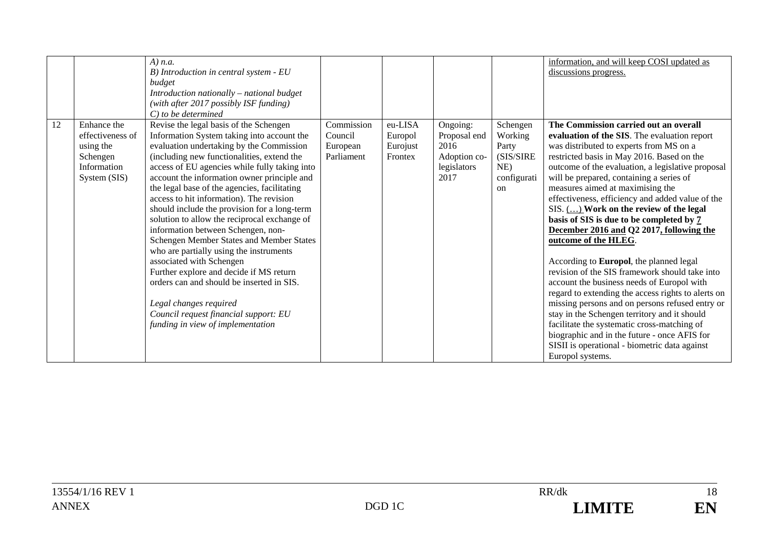|    |                  | $A)$ n.a.                                     |            |          |              |               | information, and will keep COSI updated as         |
|----|------------------|-----------------------------------------------|------------|----------|--------------|---------------|----------------------------------------------------|
|    |                  | B) Introduction in central system - EU        |            |          |              |               | discussions progress.                              |
|    |                  | budget                                        |            |          |              |               |                                                    |
|    |                  | Introduction nationally – national budget     |            |          |              |               |                                                    |
|    |                  | (with after 2017 possibly ISF funding)        |            |          |              |               |                                                    |
|    |                  | $C$ ) to be determined                        |            |          |              |               |                                                    |
| 12 | Enhance the      | Revise the legal basis of the Schengen        | Commission | eu-LISA  | Ongoing:     | Schengen      | The Commission carried out an overall              |
|    | effectiveness of | Information System taking into account the    | Council    | Europol  | Proposal end | Working       | evaluation of the SIS. The evaluation report       |
|    | using the        | evaluation undertaking by the Commission      | European   | Eurojust | 2016         | Party         | was distributed to experts from MS on a            |
|    | Schengen         | (including new functionalities, extend the    | Parliament | Frontex  | Adoption co- | (SIS/SIRE     | restricted basis in May 2016. Based on the         |
|    | Information      | access of EU agencies while fully taking into |            |          | legislators  | $NE$ )        | outcome of the evaluation, a legislative proposal  |
|    | System (SIS)     | account the information owner principle and   |            |          | 2017         | configurati   | will be prepared, containing a series of           |
|    |                  | the legal base of the agencies, facilitating  |            |          |              | <sub>on</sub> | measures aimed at maximising the                   |
|    |                  | access to hit information). The revision      |            |          |              |               | effectiveness, efficiency and added value of the   |
|    |                  | should include the provision for a long-term  |            |          |              |               | SIS. () Work on the review of the legal            |
|    |                  | solution to allow the reciprocal exchange of  |            |          |              |               | basis of SIS is due to be completed by 7           |
|    |                  | information between Schengen, non-            |            |          |              |               | December 2016 and Q2 2017, following the           |
|    |                  | Schengen Member States and Member States      |            |          |              |               | outcome of the HLEG.                               |
|    |                  | who are partially using the instruments       |            |          |              |               |                                                    |
|    |                  | associated with Schengen                      |            |          |              |               | According to Europol, the planned legal            |
|    |                  | Further explore and decide if MS return       |            |          |              |               | revision of the SIS framework should take into     |
|    |                  | orders can and should be inserted in SIS.     |            |          |              |               | account the business needs of Europol with         |
|    |                  |                                               |            |          |              |               |                                                    |
|    |                  |                                               |            |          |              |               | regard to extending the access rights to alerts on |
|    |                  | Legal changes required                        |            |          |              |               | missing persons and on persons refused entry or    |
|    |                  | Council request financial support: EU         |            |          |              |               | stay in the Schengen territory and it should       |
|    |                  | funding in view of implementation             |            |          |              |               | facilitate the systematic cross-matching of        |
|    |                  |                                               |            |          |              |               | biographic and in the future - once AFIS for       |
|    |                  |                                               |            |          |              |               | SISII is operational - biometric data against      |
|    |                  |                                               |            |          |              |               | Europol systems.                                   |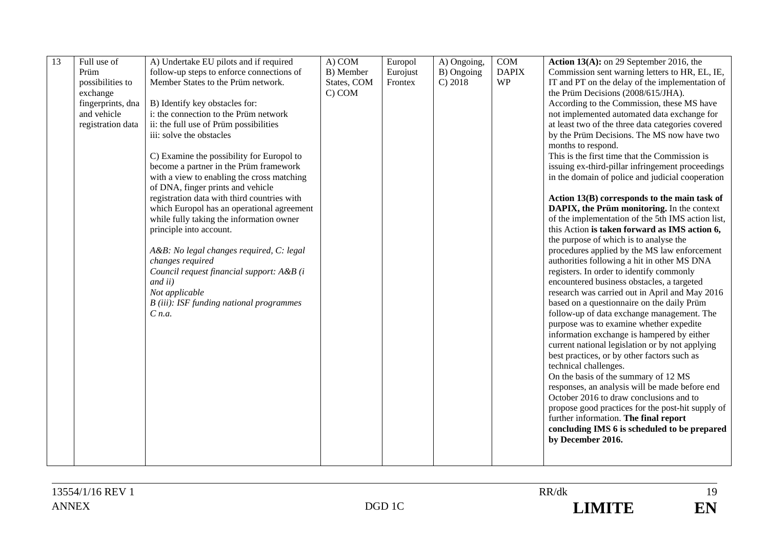| 13 | Full use of       | A) Undertake EU pilots and if required      | A) COM      | Europol  | A) Ongoing, | COM          | Action $13(A)$ : on 29 September 2016, the        |
|----|-------------------|---------------------------------------------|-------------|----------|-------------|--------------|---------------------------------------------------|
|    | Prüm              | follow-up steps to enforce connections of   | B) Member   | Eurojust | B) Ongoing  | <b>DAPIX</b> | Commission sent warning letters to HR, EL, IE,    |
|    | possibilities to  | Member States to the Prüm network.          | States, COM | Frontex  | C) 2018     | <b>WP</b>    | IT and PT on the delay of the implementation of   |
|    | exchange          |                                             | C) COM      |          |             |              | the Prüm Decisions (2008/615/JHA).                |
|    |                   |                                             |             |          |             |              |                                                   |
|    | fingerprints, dna | B) Identify key obstacles for:              |             |          |             |              | According to the Commission, these MS have        |
|    | and vehicle       | i: the connection to the Prüm network       |             |          |             |              | not implemented automated data exchange for       |
|    | registration data | ii: the full use of Prüm possibilities      |             |          |             |              | at least two of the three data categories covered |
|    |                   | iii: solve the obstacles                    |             |          |             |              | by the Prüm Decisions. The MS now have two        |
|    |                   |                                             |             |          |             |              | months to respond.                                |
|    |                   | C) Examine the possibility for Europol to   |             |          |             |              | This is the first time that the Commission is     |
|    |                   | become a partner in the Prüm framework      |             |          |             |              | issuing ex-third-pillar infringement proceedings  |
|    |                   | with a view to enabling the cross matching  |             |          |             |              | in the domain of police and judicial cooperation  |
|    |                   | of DNA, finger prints and vehicle           |             |          |             |              |                                                   |
|    |                   | registration data with third countries with |             |          |             |              | Action 13(B) corresponds to the main task of      |
|    |                   | which Europol has an operational agreement  |             |          |             |              | DAPIX, the Prüm monitoring. In the context        |
|    |                   | while fully taking the information owner    |             |          |             |              | of the implementation of the 5th IMS action list, |
|    |                   | principle into account.                     |             |          |             |              | this Action is taken forward as IMS action 6,     |
|    |                   |                                             |             |          |             |              | the purpose of which is to analyse the            |
|    |                   | A&B: No legal changes required, C: legal    |             |          |             |              | procedures applied by the MS law enforcement      |
|    |                   | changes required                            |             |          |             |              | authorities following a hit in other MS DNA       |
|    |                   | Council request financial support: A&B (i   |             |          |             |              | registers. In order to identify commonly          |
|    |                   | and ii)                                     |             |          |             |              | encountered business obstacles, a targeted        |
|    |                   | Not applicable                              |             |          |             |              | research was carried out in April and May 2016    |
|    |                   | B (iii): ISF funding national programmes    |             |          |             |              | based on a questionnaire on the daily Prüm        |
|    |                   | $C$ n.a.                                    |             |          |             |              | follow-up of data exchange management. The        |
|    |                   |                                             |             |          |             |              | purpose was to examine whether expedite           |
|    |                   |                                             |             |          |             |              | information exchange is hampered by either        |
|    |                   |                                             |             |          |             |              | current national legislation or by not applying   |
|    |                   |                                             |             |          |             |              |                                                   |
|    |                   |                                             |             |          |             |              | best practices, or by other factors such as       |
|    |                   |                                             |             |          |             |              | technical challenges.                             |
|    |                   |                                             |             |          |             |              | On the basis of the summary of 12 MS              |
|    |                   |                                             |             |          |             |              | responses, an analysis will be made before end    |
|    |                   |                                             |             |          |             |              | October 2016 to draw conclusions and to           |
|    |                   |                                             |             |          |             |              | propose good practices for the post-hit supply of |
|    |                   |                                             |             |          |             |              | further information. The final report             |
|    |                   |                                             |             |          |             |              | concluding IMS 6 is scheduled to be prepared      |
|    |                   |                                             |             |          |             |              | by December 2016.                                 |
|    |                   |                                             |             |          |             |              |                                                   |
|    |                   |                                             |             |          |             |              |                                                   |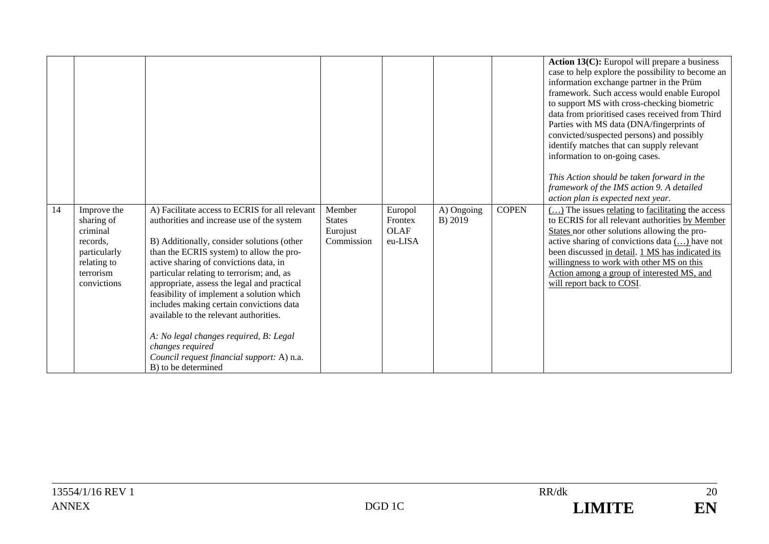|    |                                                                                                              |                                                                                                                                                                                                                                                                                                                                                                                                                                                                                                                                                                                                    |                                                   |                                              |                       |              | Action 13(C): Europol will prepare a business<br>case to help explore the possibility to become an<br>information exchange partner in the Prüm<br>framework. Such access would enable Europol<br>to support MS with cross-checking biometric<br>data from prioritised cases received from Third<br>Parties with MS data (DNA/fingerprints of<br>convicted/suspected persons) and possibly<br>identify matches that can supply relevant<br>information to on-going cases.<br>This Action should be taken forward in the<br>framework of the IMS action 9. A detailed<br>action plan is expected next year. |
|----|--------------------------------------------------------------------------------------------------------------|----------------------------------------------------------------------------------------------------------------------------------------------------------------------------------------------------------------------------------------------------------------------------------------------------------------------------------------------------------------------------------------------------------------------------------------------------------------------------------------------------------------------------------------------------------------------------------------------------|---------------------------------------------------|----------------------------------------------|-----------------------|--------------|-----------------------------------------------------------------------------------------------------------------------------------------------------------------------------------------------------------------------------------------------------------------------------------------------------------------------------------------------------------------------------------------------------------------------------------------------------------------------------------------------------------------------------------------------------------------------------------------------------------|
| 14 | Improve the<br>sharing of<br>criminal<br>records.<br>particularly<br>relating to<br>terrorism<br>convictions | A) Facilitate access to ECRIS for all relevant<br>authorities and increase use of the system<br>B) Additionally, consider solutions (other<br>than the ECRIS system) to allow the pro-<br>active sharing of convictions data, in<br>particular relating to terrorism; and, as<br>appropriate, assess the legal and practical<br>feasibility of implement a solution which<br>includes making certain convictions data<br>available to the relevant authorities.<br>A: No legal changes required, B: Legal<br>changes required<br>Council request financial support: A) n.a.<br>B) to be determined | Member<br><b>States</b><br>Eurojust<br>Commission | Europol<br>Frontex<br><b>OLAF</b><br>eu-LISA | A) Ongoing<br>B) 2019 | <b>COPEN</b> | $\left(\dots\right)$ The issues relating to facilitating the access<br>to ECRIS for all relevant authorities by Member<br>States nor other solutions allowing the pro-<br>active sharing of convictions data () have not<br>been discussed in detail. 1 MS has indicated its<br>willingness to work with other MS on this<br>Action among a group of interested MS, and<br>will report back to COSI.                                                                                                                                                                                                      |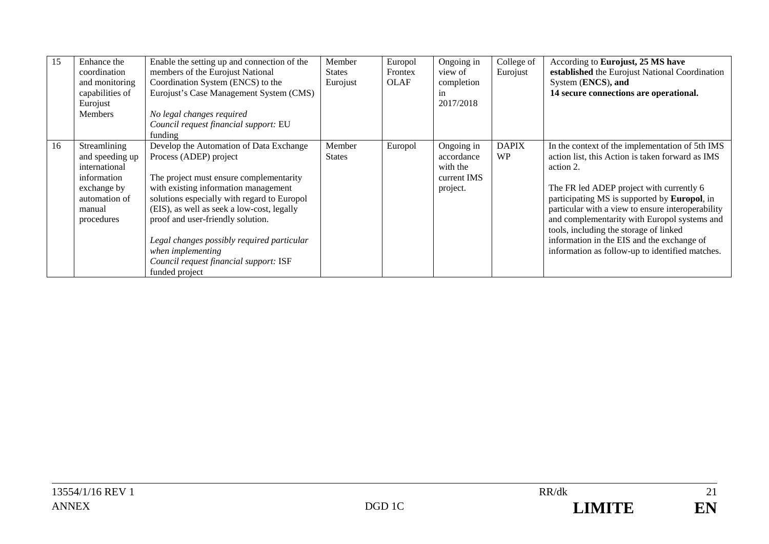| 15 | Enhance the<br>coordination<br>and monitoring<br>capabilities of<br>Eurojust<br><b>Members</b>                          | Enable the setting up and connection of the<br>members of the Eurojust National<br>Coordination System (ENCS) to the<br>Eurojust's Case Management System (CMS)<br>No legal changes required<br>Council request financial support: EU<br>funding                                                                                                                                                                      | Member<br><b>States</b><br>Eurojust | Europol<br>Frontex<br><b>OLAF</b> | Ongoing in<br>view of<br>completion<br>1n<br>2017/2018          | College of<br>Eurojust    | According to Eurojust, 25 MS have<br>established the Eurojust National Coordination<br>System (ENCS), and<br>14 secure connections are operational.                                                                                                                                                                                                                                                                                                                  |
|----|-------------------------------------------------------------------------------------------------------------------------|-----------------------------------------------------------------------------------------------------------------------------------------------------------------------------------------------------------------------------------------------------------------------------------------------------------------------------------------------------------------------------------------------------------------------|-------------------------------------|-----------------------------------|-----------------------------------------------------------------|---------------------------|----------------------------------------------------------------------------------------------------------------------------------------------------------------------------------------------------------------------------------------------------------------------------------------------------------------------------------------------------------------------------------------------------------------------------------------------------------------------|
| 16 | Streamlining<br>and speeding up<br>international<br>information<br>exchange by<br>automation of<br>manual<br>procedures | Develop the Automation of Data Exchange<br>Process (ADEP) project<br>The project must ensure complementarity<br>with existing information management<br>solutions especially with regard to Europol<br>(EIS), as well as seek a low-cost, legally<br>proof and user-friendly solution.<br>Legal changes possibly required particular<br>when implementing<br>Council request financial support: ISF<br>funded project | Member<br><b>States</b>             | Europol                           | Ongoing in<br>accordance<br>with the<br>current IMS<br>project. | <b>DAPIX</b><br><b>WP</b> | In the context of the implementation of 5th IMS<br>action list, this Action is taken forward as IMS<br>action 2.<br>The FR led ADEP project with currently 6<br>participating MS is supported by <b>Europol</b> , in<br>particular with a view to ensure interoperability<br>and complementarity with Europol systems and<br>tools, including the storage of linked<br>information in the EIS and the exchange of<br>information as follow-up to identified matches. |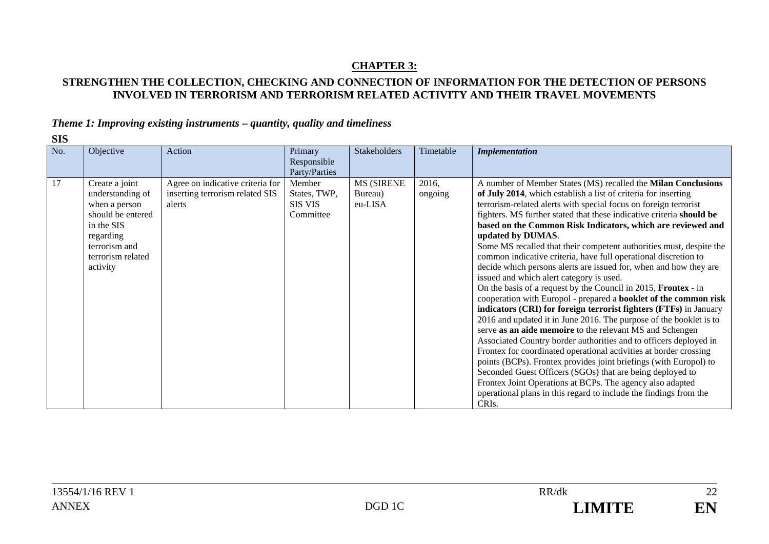# **CHAPTER 3:**

# **STRENGTHEN THE COLLECTION, CHECKING AND CONNECTION OF INFORMATION FOR THE DETECTION OF PERSONS INVOLVED IN TERRORISM AND TERRORISM RELATED ACTIVITY AND THEIR TRAVEL MOVEMENTS**

## *Theme 1: Improving existing instruments – quantity, quality and timeliness*

| ٧<br>۰.<br>×<br>۰, |
|--------------------|
|--------------------|

| No. | Objective                                                                                                                                             | Action                                                                        | Primary<br>Responsible<br>Party/Parties               | <b>Stakeholders</b>                     | Timetable        | <b>Implementation</b>                                                                                                                                                                                                                                                                                                                                                                                                                                                                                                                                                                                                                                                                                                                                                                                                                                                                                                                                                                                                                                                                                                                                                                                                                                                                                                                                                                          |
|-----|-------------------------------------------------------------------------------------------------------------------------------------------------------|-------------------------------------------------------------------------------|-------------------------------------------------------|-----------------------------------------|------------------|------------------------------------------------------------------------------------------------------------------------------------------------------------------------------------------------------------------------------------------------------------------------------------------------------------------------------------------------------------------------------------------------------------------------------------------------------------------------------------------------------------------------------------------------------------------------------------------------------------------------------------------------------------------------------------------------------------------------------------------------------------------------------------------------------------------------------------------------------------------------------------------------------------------------------------------------------------------------------------------------------------------------------------------------------------------------------------------------------------------------------------------------------------------------------------------------------------------------------------------------------------------------------------------------------------------------------------------------------------------------------------------------|
| 17  | Create a joint<br>understanding of<br>when a person<br>should be entered<br>in the SIS<br>regarding<br>terrorism and<br>terrorism related<br>activity | Agree on indicative criteria for<br>inserting terrorism related SIS<br>alerts | Member<br>States, TWP,<br><b>SIS VIS</b><br>Committee | <b>MS (SIRENE</b><br>Bureau)<br>eu-LISA | 2016,<br>ongoing | A number of Member States (MS) recalled the Milan Conclusions<br>of July 2014, which establish a list of criteria for inserting<br>terrorism-related alerts with special focus on foreign terrorist<br>fighters. MS further stated that these indicative criteria should be<br>based on the Common Risk Indicators, which are reviewed and<br>updated by DUMAS.<br>Some MS recalled that their competent authorities must, despite the<br>common indicative criteria, have full operational discretion to<br>decide which persons alerts are issued for, when and how they are<br>issued and which alert category is used.<br>On the basis of a request by the Council in 2015, Frontex - in<br>cooperation with Europol - prepared a booklet of the common risk<br>indicators (CRI) for foreign terrorist fighters (FTFs) in January<br>2016 and updated it in June 2016. The purpose of the booklet is to<br>serve as an aide memoire to the relevant MS and Schengen<br>Associated Country border authorities and to officers deployed in<br>Frontex for coordinated operational activities at border crossing<br>points (BCPs). Frontex provides joint briefings (with Europol) to<br>Seconded Guest Officers (SGOs) that are being deployed to<br>Frontex Joint Operations at BCPs. The agency also adapted<br>operational plans in this regard to include the findings from the<br>CRIs. |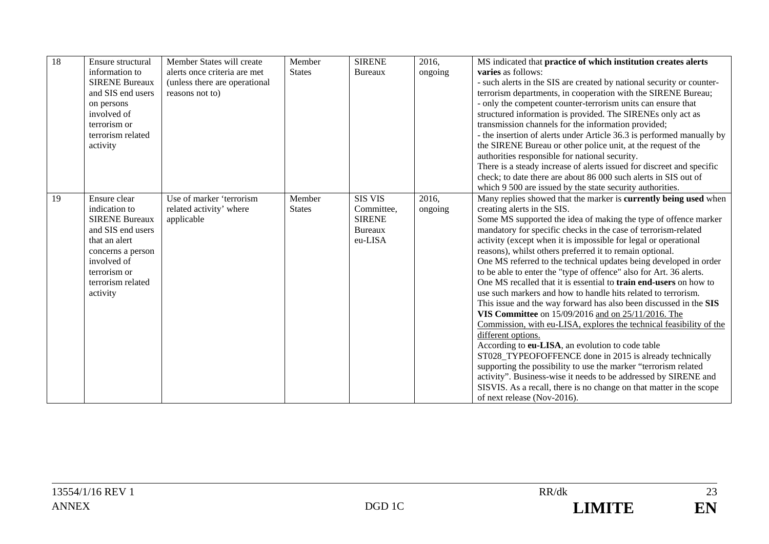| 18 | Ensure structural<br>information to<br><b>SIRENE Bureaux</b><br>and SIS end users<br>on persons<br>involved of<br>terrorism or<br>terrorism related<br>activity                   | Member States will create<br>alerts once criteria are met<br>(unless there are operational<br>reasons not to) | Member<br><b>States</b> | <b>SIRENE</b><br><b>Bureaux</b>                                            | 2016,<br>ongoing | MS indicated that practice of which institution creates alerts<br><b>varies</b> as follows:<br>- such alerts in the SIS are created by national security or counter-<br>terrorism departments, in cooperation with the SIRENE Bureau;<br>- only the competent counter-terrorism units can ensure that<br>structured information is provided. The SIRENEs only act as<br>transmission channels for the information provided;<br>- the insertion of alerts under Article 36.3 is performed manually by<br>the SIRENE Bureau or other police unit, at the request of the<br>authorities responsible for national security.<br>There is a steady increase of alerts issued for discreet and specific<br>check; to date there are about 86 000 such alerts in SIS out of<br>which 9 500 are issued by the state security authorities.                                                                                                                                                                                                                                                                                                                                                                                                               |
|----|-----------------------------------------------------------------------------------------------------------------------------------------------------------------------------------|---------------------------------------------------------------------------------------------------------------|-------------------------|----------------------------------------------------------------------------|------------------|------------------------------------------------------------------------------------------------------------------------------------------------------------------------------------------------------------------------------------------------------------------------------------------------------------------------------------------------------------------------------------------------------------------------------------------------------------------------------------------------------------------------------------------------------------------------------------------------------------------------------------------------------------------------------------------------------------------------------------------------------------------------------------------------------------------------------------------------------------------------------------------------------------------------------------------------------------------------------------------------------------------------------------------------------------------------------------------------------------------------------------------------------------------------------------------------------------------------------------------------|
| 19 | Ensure clear<br>indication to<br><b>SIRENE Bureaux</b><br>and SIS end users<br>that an alert<br>concerns a person<br>involved of<br>terrorism or<br>terrorism related<br>activity | Use of marker 'terrorism<br>related activity' where<br>applicable                                             | Member<br><b>States</b> | <b>SIS VIS</b><br>Committee,<br><b>SIRENE</b><br><b>Bureaux</b><br>eu-LISA | 2016,<br>ongoing | Many replies showed that the marker is currently being used when<br>creating alerts in the SIS.<br>Some MS supported the idea of making the type of offence marker<br>mandatory for specific checks in the case of terrorism-related<br>activity (except when it is impossible for legal or operational<br>reasons), whilst others preferred it to remain optional.<br>One MS referred to the technical updates being developed in order<br>to be able to enter the "type of offence" also for Art. 36 alerts.<br>One MS recalled that it is essential to <b>train end-users</b> on how to<br>use such markers and how to handle hits related to terrorism.<br>This issue and the way forward has also been discussed in the SIS<br>VIS Committee on 15/09/2016 and on 25/11/2016. The<br>Commission, with eu-LISA, explores the technical feasibility of the<br>different options.<br>According to eu-LISA, an evolution to code table<br>ST028_TYPEOFOFFENCE done in 2015 is already technically<br>supporting the possibility to use the marker "terrorism related<br>activity". Business-wise it needs to be addressed by SIRENE and<br>SISVIS. As a recall, there is no change on that matter in the scope<br>of next release (Nov-2016). |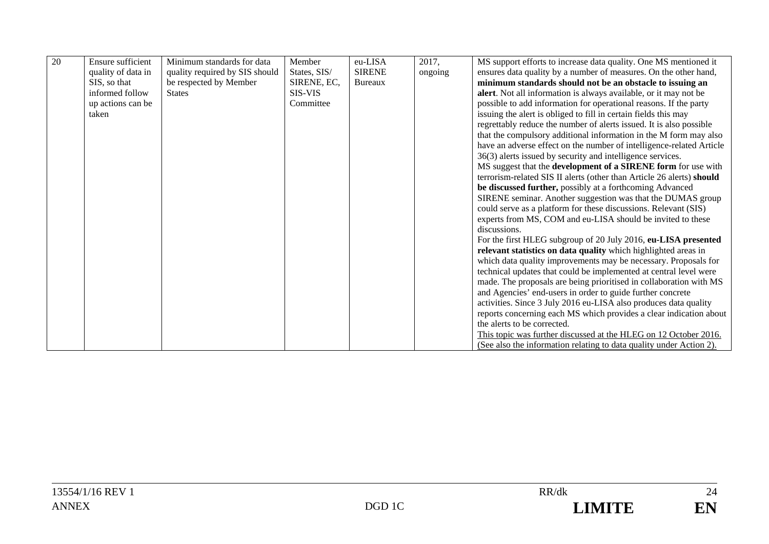| 20 | <b>Ensure sufficient</b> | Minimum standards for data     | Member       | eu-LISA        | 2017,   | MS support efforts to increase data quality. One MS mentioned it      |
|----|--------------------------|--------------------------------|--------------|----------------|---------|-----------------------------------------------------------------------|
|    | quality of data in       | quality required by SIS should | States, SIS/ | <b>SIRENE</b>  | ongoing | ensures data quality by a number of measures. On the other hand,      |
|    | SIS, so that             | be respected by Member         | SIRENE, EC,  | <b>Bureaux</b> |         | minimum standards should not be an obstacle to issuing an             |
|    | informed follow          | <b>States</b>                  | SIS-VIS      |                |         | alert. Not all information is always available, or it may not be      |
|    | up actions can be        |                                | Committee    |                |         | possible to add information for operational reasons. If the party     |
|    | taken                    |                                |              |                |         | issuing the alert is obliged to fill in certain fields this may       |
|    |                          |                                |              |                |         | regrettably reduce the number of alerts issued. It is also possible   |
|    |                          |                                |              |                |         | that the compulsory additional information in the M form may also     |
|    |                          |                                |              |                |         | have an adverse effect on the number of intelligence-related Article  |
|    |                          |                                |              |                |         | 36(3) alerts issued by security and intelligence services.            |
|    |                          |                                |              |                |         | MS suggest that the development of a SIRENE form for use with         |
|    |                          |                                |              |                |         | terrorism-related SIS II alerts (other than Article 26 alerts) should |
|    |                          |                                |              |                |         | be discussed further, possibly at a forthcoming Advanced              |
|    |                          |                                |              |                |         | SIRENE seminar. Another suggestion was that the DUMAS group           |
|    |                          |                                |              |                |         | could serve as a platform for these discussions. Relevant (SIS)       |
|    |                          |                                |              |                |         | experts from MS, COM and eu-LISA should be invited to these           |
|    |                          |                                |              |                |         | discussions.                                                          |
|    |                          |                                |              |                |         | For the first HLEG subgroup of 20 July 2016, eu-LISA presented        |
|    |                          |                                |              |                |         | relevant statistics on data quality which highlighted areas in        |
|    |                          |                                |              |                |         | which data quality improvements may be necessary. Proposals for       |
|    |                          |                                |              |                |         | technical updates that could be implemented at central level were     |
|    |                          |                                |              |                |         | made. The proposals are being prioritised in collaboration with MS    |
|    |                          |                                |              |                |         | and Agencies' end-users in order to guide further concrete            |
|    |                          |                                |              |                |         | activities. Since 3 July 2016 eu-LISA also produces data quality      |
|    |                          |                                |              |                |         | reports concerning each MS which provides a clear indication about    |
|    |                          |                                |              |                |         | the alerts to be corrected.                                           |
|    |                          |                                |              |                |         | This topic was further discussed at the HLEG on 12 October 2016.      |
|    |                          |                                |              |                |         | (See also the information relating to data quality under Action 2).   |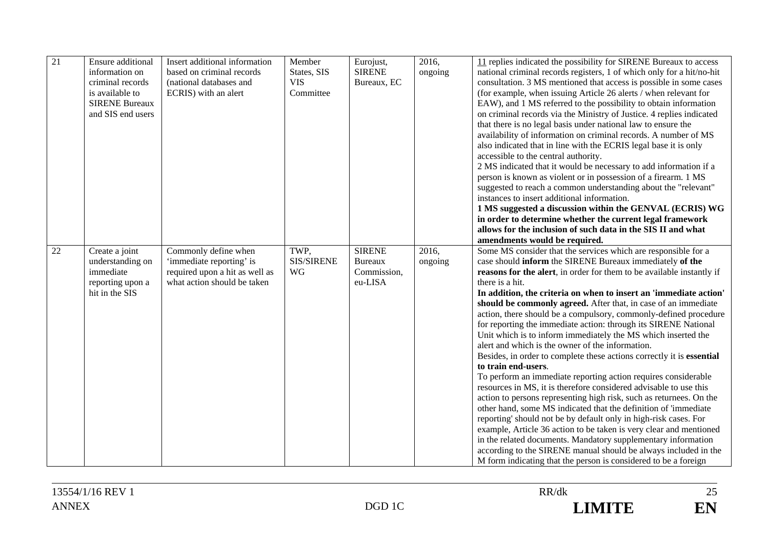| 21 | Ensure additional<br>information on<br>criminal records<br>is available to<br><b>SIRENE Bureaux</b><br>and SIS end users | Insert additional information<br>based on criminal records<br>(national databases and<br>ECRIS) with an alert     | Member<br>States, SIS<br><b>VIS</b><br>Committee | Eurojust,<br><b>SIRENE</b><br>Bureaux, EC                 | 2016,<br>ongoing | 11 replies indicated the possibility for SIRENE Bureaux to access<br>national criminal records registers, 1 of which only for a hit/no-hit<br>consultation. 3 MS mentioned that access is possible in some cases<br>(for example, when issuing Article 26 alerts / when relevant for<br>EAW), and 1 MS referred to the possibility to obtain information<br>on criminal records via the Ministry of Justice. 4 replies indicated<br>that there is no legal basis under national law to ensure the<br>availability of information on criminal records. A number of MS<br>also indicated that in line with the ECRIS legal base it is only<br>accessible to the central authority.<br>2 MS indicated that it would be necessary to add information if a<br>person is known as violent or in possession of a firearm. 1 MS<br>suggested to reach a common understanding about the "relevant"<br>instances to insert additional information.<br>1 MS suggested a discussion within the GENVAL (ECRIS) WG<br>in order to determine whether the current legal framework<br>allows for the inclusion of such data in the SIS II and what<br>amendments would be required.                                                                                                                                                                                          |
|----|--------------------------------------------------------------------------------------------------------------------------|-------------------------------------------------------------------------------------------------------------------|--------------------------------------------------|-----------------------------------------------------------|------------------|-------------------------------------------------------------------------------------------------------------------------------------------------------------------------------------------------------------------------------------------------------------------------------------------------------------------------------------------------------------------------------------------------------------------------------------------------------------------------------------------------------------------------------------------------------------------------------------------------------------------------------------------------------------------------------------------------------------------------------------------------------------------------------------------------------------------------------------------------------------------------------------------------------------------------------------------------------------------------------------------------------------------------------------------------------------------------------------------------------------------------------------------------------------------------------------------------------------------------------------------------------------------------------------------------------------------------------------------------------------|
| 22 | Create a joint<br>understanding on<br>immediate<br>reporting upon a<br>hit in the SIS                                    | Commonly define when<br>'immediate reporting' is<br>required upon a hit as well as<br>what action should be taken | TWP.<br><b>SIS/SIRENE</b><br>WG                  | <b>SIRENE</b><br><b>Bureaux</b><br>Commission,<br>eu-LISA | 2016,<br>ongoing | Some MS consider that the services which are responsible for a<br>case should inform the SIRENE Bureaux immediately of the<br>reasons for the alert, in order for them to be available instantly if<br>there is a hit.<br>In addition, the criteria on when to insert an 'immediate action'<br>should be commonly agreed. After that, in case of an immediate<br>action, there should be a compulsory, commonly-defined procedure<br>for reporting the immediate action: through its SIRENE National<br>Unit which is to inform immediately the MS which inserted the<br>alert and which is the owner of the information.<br>Besides, in order to complete these actions correctly it is essential<br>to train end-users.<br>To perform an immediate reporting action requires considerable<br>resources in MS, it is therefore considered advisable to use this<br>action to persons representing high risk, such as returnees. On the<br>other hand, some MS indicated that the definition of 'immediate<br>reporting' should not be by default only in high-risk cases. For<br>example, Article 36 action to be taken is very clear and mentioned<br>in the related documents. Mandatory supplementary information<br>according to the SIRENE manual should be always included in the<br>M form indicating that the person is considered to be a foreign |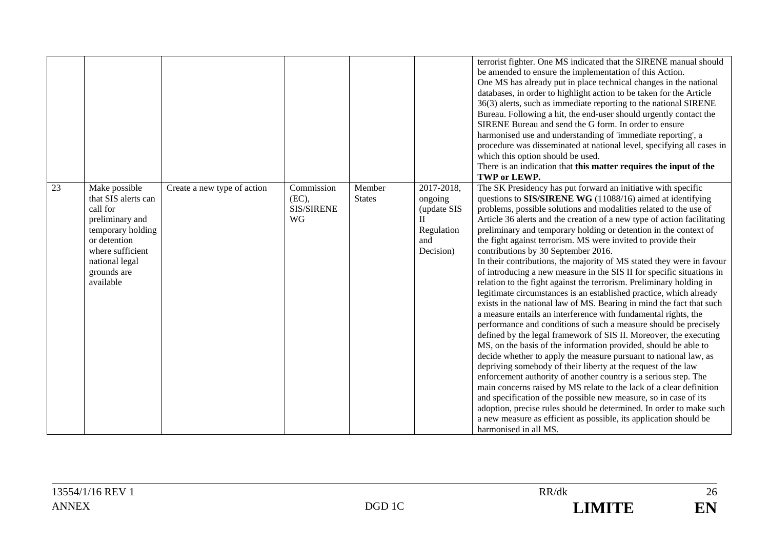|    |                                                                                                                                                                            |                             |                                                |                         |                                                                                        | terrorist fighter. One MS indicated that the SIRENE manual should<br>be amended to ensure the implementation of this Action.<br>One MS has already put in place technical changes in the national<br>databases, in order to highlight action to be taken for the Article<br>36(3) alerts, such as immediate reporting to the national SIRENE<br>Bureau. Following a hit, the end-user should urgently contact the<br>SIRENE Bureau and send the G form. In order to ensure<br>harmonised use and understanding of 'immediate reporting', a<br>procedure was disseminated at national level, specifying all cases in<br>which this option should be used.<br>There is an indication that this matter requires the input of the<br>TWP or LEWP.                                                                                                                                                                                                                                                                                                                                                                                                                                                                                                                                                                                                                                                                                                                                                                                                                                                                                        |
|----|----------------------------------------------------------------------------------------------------------------------------------------------------------------------------|-----------------------------|------------------------------------------------|-------------------------|----------------------------------------------------------------------------------------|--------------------------------------------------------------------------------------------------------------------------------------------------------------------------------------------------------------------------------------------------------------------------------------------------------------------------------------------------------------------------------------------------------------------------------------------------------------------------------------------------------------------------------------------------------------------------------------------------------------------------------------------------------------------------------------------------------------------------------------------------------------------------------------------------------------------------------------------------------------------------------------------------------------------------------------------------------------------------------------------------------------------------------------------------------------------------------------------------------------------------------------------------------------------------------------------------------------------------------------------------------------------------------------------------------------------------------------------------------------------------------------------------------------------------------------------------------------------------------------------------------------------------------------------------------------------------------------------------------------------------------------|
| 23 | Make possible<br>that SIS alerts can<br>call for<br>preliminary and<br>temporary holding<br>or detention<br>where sufficient<br>national legal<br>grounds are<br>available | Create a new type of action | Commission<br>(EC),<br>SIS/SIRENE<br><b>WG</b> | Member<br><b>States</b> | 2017-2018,<br>ongoing<br>(update SIS<br>$\mathbf{I}$<br>Regulation<br>and<br>Decision) | The SK Presidency has put forward an initiative with specific<br>questions to SIS/SIRENE WG (11088/16) aimed at identifying<br>problems, possible solutions and modalities related to the use of<br>Article 36 alerts and the creation of a new type of action facilitating<br>preliminary and temporary holding or detention in the context of<br>the fight against terrorism. MS were invited to provide their<br>contributions by 30 September 2016.<br>In their contributions, the majority of MS stated they were in favour<br>of introducing a new measure in the SIS II for specific situations in<br>relation to the fight against the terrorism. Preliminary holding in<br>legitimate circumstances is an established practice, which already<br>exists in the national law of MS. Bearing in mind the fact that such<br>a measure entails an interference with fundamental rights, the<br>performance and conditions of such a measure should be precisely<br>defined by the legal framework of SIS II. Moreover, the executing<br>MS, on the basis of the information provided, should be able to<br>decide whether to apply the measure pursuant to national law, as<br>depriving somebody of their liberty at the request of the law<br>enforcement authority of another country is a serious step. The<br>main concerns raised by MS relate to the lack of a clear definition<br>and specification of the possible new measure, so in case of its<br>adoption, precise rules should be determined. In order to make such<br>a new measure as efficient as possible, its application should be<br>harmonised in all MS. |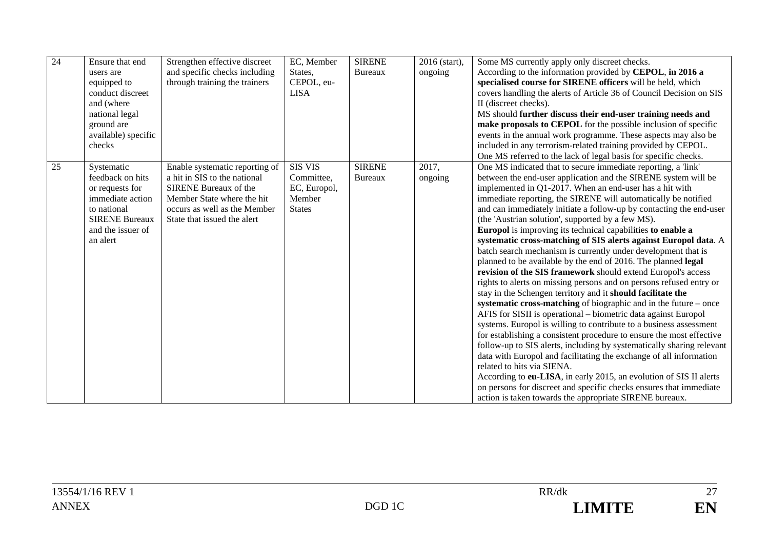| 24 | Ensure that end<br>users are<br>equipped to<br>conduct discreet<br>and (where<br>national legal<br>ground are<br>available) specific<br>checks | Strengthen effective discreet<br>and specific checks including<br>through training the trainers                                                                                             | EC, Member<br>States,<br>CEPOL, eu-<br><b>LISA</b>                      | <b>SIRENE</b><br><b>Bureaux</b> | 2016 (start),<br>ongoing | Some MS currently apply only discreet checks.<br>According to the information provided by CEPOL, in 2016 a<br>specialised course for SIRENE officers will be held, which<br>covers handling the alerts of Article 36 of Council Decision on SIS<br>II (discreet checks).<br>MS should further discuss their end-user training needs and<br>make proposals to CEPOL for the possible inclusion of specific<br>events in the annual work programme. These aspects may also be<br>included in any terrorism-related training provided by CEPOL.<br>One MS referred to the lack of legal basis for specific checks.                                                                                                                                                                                                                                                                                                                                                                                                                                                                                                                                                                                                                                                                                                                                                                                                                                                                                                                            |
|----|------------------------------------------------------------------------------------------------------------------------------------------------|---------------------------------------------------------------------------------------------------------------------------------------------------------------------------------------------|-------------------------------------------------------------------------|---------------------------------|--------------------------|--------------------------------------------------------------------------------------------------------------------------------------------------------------------------------------------------------------------------------------------------------------------------------------------------------------------------------------------------------------------------------------------------------------------------------------------------------------------------------------------------------------------------------------------------------------------------------------------------------------------------------------------------------------------------------------------------------------------------------------------------------------------------------------------------------------------------------------------------------------------------------------------------------------------------------------------------------------------------------------------------------------------------------------------------------------------------------------------------------------------------------------------------------------------------------------------------------------------------------------------------------------------------------------------------------------------------------------------------------------------------------------------------------------------------------------------------------------------------------------------------------------------------------------------|
| 25 | Systematic<br>feedback on hits<br>or requests for<br>immediate action<br>to national<br><b>SIRENE Bureaux</b><br>and the issuer of<br>an alert | Enable systematic reporting of<br>a hit in SIS to the national<br><b>SIRENE Bureaux of the</b><br>Member State where the hit<br>occurs as well as the Member<br>State that issued the alert | <b>SIS VIS</b><br>Committee,<br>EC, Europol,<br>Member<br><b>States</b> | <b>SIRENE</b><br>Bureaux        | 2017,<br>ongoing         | One MS indicated that to secure immediate reporting, a 'link'<br>between the end-user application and the SIRENE system will be<br>implemented in Q1-2017. When an end-user has a hit with<br>immediate reporting, the SIRENE will automatically be notified<br>and can immediately initiate a follow-up by contacting the end-user<br>(the 'Austrian solution', supported by a few MS).<br>Europol is improving its technical capabilities to enable a<br>systematic cross-matching of SIS alerts against Europol data. A<br>batch search mechanism is currently under development that is<br>planned to be available by the end of 2016. The planned legal<br>revision of the SIS framework should extend Europol's access<br>rights to alerts on missing persons and on persons refused entry or<br>stay in the Schengen territory and it should facilitate the<br>systematic cross-matching of biographic and in the future – once<br>AFIS for SISII is operational – biometric data against Europol<br>systems. Europol is willing to contribute to a business assessment<br>for establishing a consistent procedure to ensure the most effective<br>follow-up to SIS alerts, including by systematically sharing relevant<br>data with Europol and facilitating the exchange of all information<br>related to hits via SIENA.<br>According to eu-LISA, in early 2015, an evolution of SIS II alerts<br>on persons for discreet and specific checks ensures that immediate<br>action is taken towards the appropriate SIRENE bureaux. |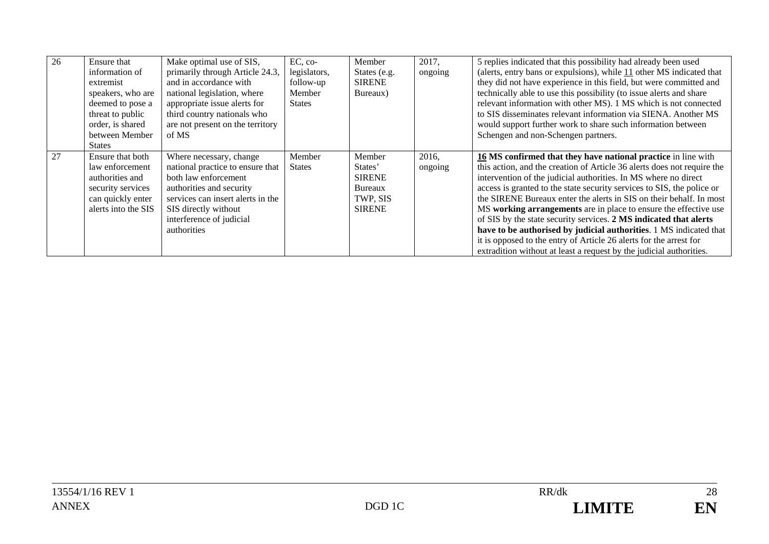| 26 | Ensure that<br>information of<br>extremist<br>speakers, who are<br>deemed to pose a<br>threat to public<br>order, is shared<br>between Member<br><b>States</b> | Make optimal use of SIS,<br>primarily through Article 24.3,<br>and in accordance with<br>national legislation, where<br>appropriate issue alerts for<br>third country nationals who<br>are not present on the territory<br>of MS | $EC, co-$<br>legislators,<br>follow-up<br>Member<br><b>States</b> | Member<br>States (e.g.<br><b>SIRENE</b><br>Bureaux)                        | 2017,<br>ongoing | 5 replies indicated that this possibility had already been used<br>(alerts, entry bans or expulsions), while 11 other MS indicated that<br>they did not have experience in this field, but were committed and<br>technically able to use this possibility (to issue alerts and share<br>relevant information with other MS). 1 MS which is not connected<br>to SIS disseminates relevant information via SIENA. Another MS<br>would support further work to share such information between<br>Schengen and non-Schengen partners.                                                                                                                                                                                        |
|----|----------------------------------------------------------------------------------------------------------------------------------------------------------------|----------------------------------------------------------------------------------------------------------------------------------------------------------------------------------------------------------------------------------|-------------------------------------------------------------------|----------------------------------------------------------------------------|------------------|--------------------------------------------------------------------------------------------------------------------------------------------------------------------------------------------------------------------------------------------------------------------------------------------------------------------------------------------------------------------------------------------------------------------------------------------------------------------------------------------------------------------------------------------------------------------------------------------------------------------------------------------------------------------------------------------------------------------------|
| 27 | Ensure that both<br>law enforcement<br>authorities and<br>security services<br>can quickly enter<br>alerts into the SIS                                        | Where necessary, change<br>national practice to ensure that<br>both law enforcement<br>authorities and security<br>services can insert alerts in the<br>SIS directly without<br>interference of judicial<br>authorities          | Member<br><b>States</b>                                           | Member<br>States'<br><b>SIRENE</b><br>Bureaux<br>TWP, SIS<br><b>SIRENE</b> | 2016,<br>ongoing | 16 MS confirmed that they have national practice in line with<br>this action, and the creation of Article 36 alerts does not require the<br>intervention of the judicial authorities. In MS where no direct<br>access is granted to the state security services to SIS, the police or<br>the SIRENE Bureaux enter the alerts in SIS on their behalf. In most<br>MS working arrangements are in place to ensure the effective use<br>of SIS by the state security services. 2 MS indicated that alerts<br>have to be authorised by judicial authorities. 1 MS indicated that<br>it is opposed to the entry of Article 26 alerts for the arrest for<br>extradition without at least a request by the judicial authorities. |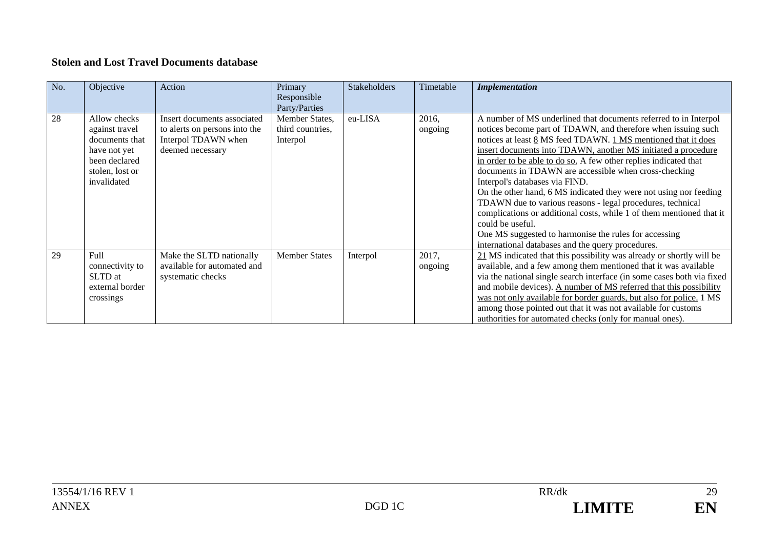#### **Stolen and Lost Travel Documents database**

| No. | Objective                                                                                                           | Action                                                                                                  | Primary<br>Responsible<br>Party/Parties        | <b>Stakeholders</b> | Timetable        | <b>Implementation</b>                                                                                                                                                                                                                                                                                                                                                                                                                                                                                                                                                                                                                                                                                                                                                           |
|-----|---------------------------------------------------------------------------------------------------------------------|---------------------------------------------------------------------------------------------------------|------------------------------------------------|---------------------|------------------|---------------------------------------------------------------------------------------------------------------------------------------------------------------------------------------------------------------------------------------------------------------------------------------------------------------------------------------------------------------------------------------------------------------------------------------------------------------------------------------------------------------------------------------------------------------------------------------------------------------------------------------------------------------------------------------------------------------------------------------------------------------------------------|
| 28  | Allow checks<br>against travel<br>documents that<br>have not yet<br>been declared<br>stolen, lost or<br>invalidated | Insert documents associated<br>to alerts on persons into the<br>Interpol TDAWN when<br>deemed necessary | Member States,<br>third countries,<br>Interpol | eu-LISA             | 2016,<br>ongoing | A number of MS underlined that documents referred to in Interpol<br>notices become part of TDAWN, and therefore when issuing such<br>notices at least 8 MS feed TDAWN. 1 MS mentioned that it does<br>insert documents into TDAWN, another MS initiated a procedure<br>in order to be able to do so. A few other replies indicated that<br>documents in TDAWN are accessible when cross-checking<br>Interpol's databases via FIND.<br>On the other hand, 6 MS indicated they were not using nor feeding<br>TDAWN due to various reasons - legal procedures, technical<br>complications or additional costs, while 1 of them mentioned that it<br>could be useful.<br>One MS suggested to harmonise the rules for accessing<br>international databases and the query procedures. |
| 29  | <b>Full</b><br>connectivity to<br>SLTD at<br>external border<br>crossings                                           | Make the SLTD nationally<br>available for automated and<br>systematic checks                            | <b>Member States</b>                           | Interpol            | 2017,<br>ongoing | $21$ MS indicated that this possibility was already or shortly will be<br>available, and a few among them mentioned that it was available<br>via the national single search interface (in some cases both via fixed<br>and mobile devices). A number of MS referred that this possibility<br>was not only available for border guards, but also for police. 1 MS<br>among those pointed out that it was not available for customs<br>authorities for automated checks (only for manual ones).                                                                                                                                                                                                                                                                                   |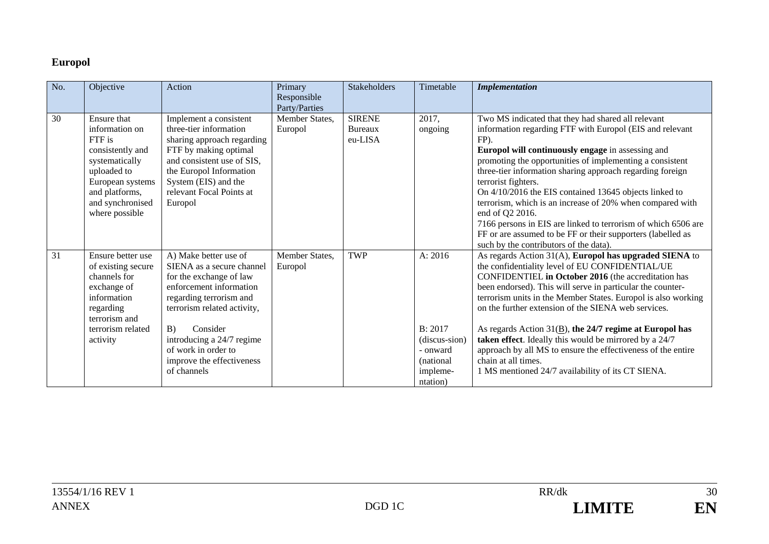# **Europol**

| No. | Objective                                                                                                                                                                       | Action                                                                                                                                                                                                                                                                               | Primary<br>Responsible<br>Party/Parties | Stakeholders                        | Timetable                                                                             | <b>Implementation</b>                                                                                                                                                                                                                                                                                                                                                                                                                                                                                                                                                                                                                           |
|-----|---------------------------------------------------------------------------------------------------------------------------------------------------------------------------------|--------------------------------------------------------------------------------------------------------------------------------------------------------------------------------------------------------------------------------------------------------------------------------------|-----------------------------------------|-------------------------------------|---------------------------------------------------------------------------------------|-------------------------------------------------------------------------------------------------------------------------------------------------------------------------------------------------------------------------------------------------------------------------------------------------------------------------------------------------------------------------------------------------------------------------------------------------------------------------------------------------------------------------------------------------------------------------------------------------------------------------------------------------|
| 30  | <b>Ensure that</b><br>information on<br>FTF is<br>consistently and<br>systematically<br>uploaded to<br>European systems<br>and platforms,<br>and synchronised<br>where possible | Implement a consistent<br>three-tier information<br>sharing approach regarding<br>FTF by making optimal<br>and consistent use of SIS,<br>the Europol Information<br>System (EIS) and the<br>relevant Focal Points at<br>Europol                                                      | Member States.<br>Europol               | <b>SIRENE</b><br>Bureaux<br>eu-LISA | 2017.<br>ongoing                                                                      | Two MS indicated that they had shared all relevant<br>information regarding FTF with Europol (EIS and relevant<br>FP).<br>Europol will continuously engage in assessing and<br>promoting the opportunities of implementing a consistent<br>three-tier information sharing approach regarding foreign<br>terrorist fighters.<br>On 4/10/2016 the EIS contained 13645 objects linked to<br>terrorism, which is an increase of 20% when compared with<br>end of Q2 2016.<br>7166 persons in EIS are linked to terrorism of which 6506 are<br>FF or are assumed to be FF or their supporters (labelled as<br>such by the contributors of the data). |
| 31  | Ensure better use<br>of existing secure<br>channels for<br>exchange of<br>information<br>regarding<br>terrorism and<br>terrorism related<br>activity                            | A) Make better use of<br>SIENA as a secure channel<br>for the exchange of law<br>enforcement information<br>regarding terrorism and<br>terrorism related activity,<br>B)<br>Consider<br>introducing a 24/7 regime<br>of work in order to<br>improve the effectiveness<br>of channels | Member States,<br>Europol               | <b>TWP</b>                          | A: 2016<br>B: 2017<br>(discus-sion)<br>- onward<br>(national)<br>impleme-<br>ntation) | As regards Action 31(A), Europol has upgraded SIENA to<br>the confidentiality level of EU CONFIDENTIAL/UE<br>CONFIDENTIEL in October 2016 (the accreditation has<br>been endorsed). This will serve in particular the counter-<br>terrorism units in the Member States. Europol is also working<br>on the further extension of the SIENA web services.<br>As regards Action $31(\underline{B})$ , the 24/7 regime at Europol has<br>taken effect. Ideally this would be mirrored by a 24/7<br>approach by all MS to ensure the effectiveness of the entire<br>chain at all times.<br>1 MS mentioned 24/7 availability of its CT SIENA.          |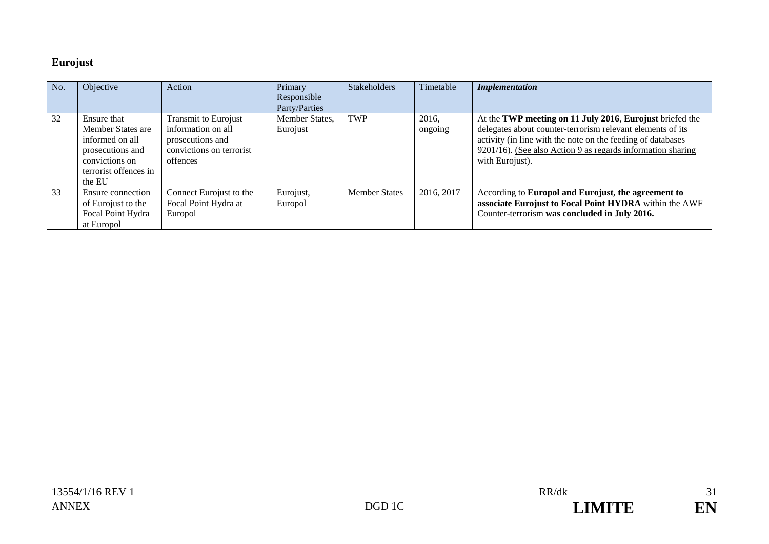# **Eurojust**

| No. | Objective                                                                                                                    | Action                                                                                                        | Primary<br>Responsible<br>Party/Parties | <b>Stakeholders</b>  | Timetable        | <b>Implementation</b>                                                                                                                                                                                                                                                   |
|-----|------------------------------------------------------------------------------------------------------------------------------|---------------------------------------------------------------------------------------------------------------|-----------------------------------------|----------------------|------------------|-------------------------------------------------------------------------------------------------------------------------------------------------------------------------------------------------------------------------------------------------------------------------|
| 32  | Ensure that<br>Member States are<br>informed on all<br>prosecutions and<br>convictions on<br>terrorist offences in<br>the EU | <b>Transmit to Eurojust</b><br>information on all<br>prosecutions and<br>convictions on terrorist<br>offences | Member States,<br>Eurojust              | <b>TWP</b>           | 2016,<br>ongoing | At the TWP meeting on 11 July 2016, Eurojust briefed the<br>delegates about counter-terrorism relevant elements of its<br>activity (in line with the note on the feeding of databases<br>9201/16). (See also Action 9 as regards information sharing<br>with Eurojust). |
| 33  | Ensure connection<br>of Eurojust to the<br>Focal Point Hydra<br>at Europol                                                   | Connect Eurojust to the<br>Focal Point Hydra at<br>Europol                                                    | Eurojust,<br>Europol                    | <b>Member States</b> | 2016, 2017       | According to Europol and Eurojust, the agreement to<br>associate Eurojust to Focal Point HYDRA within the AWF<br>Counter-terrorism was concluded in July 2016.                                                                                                          |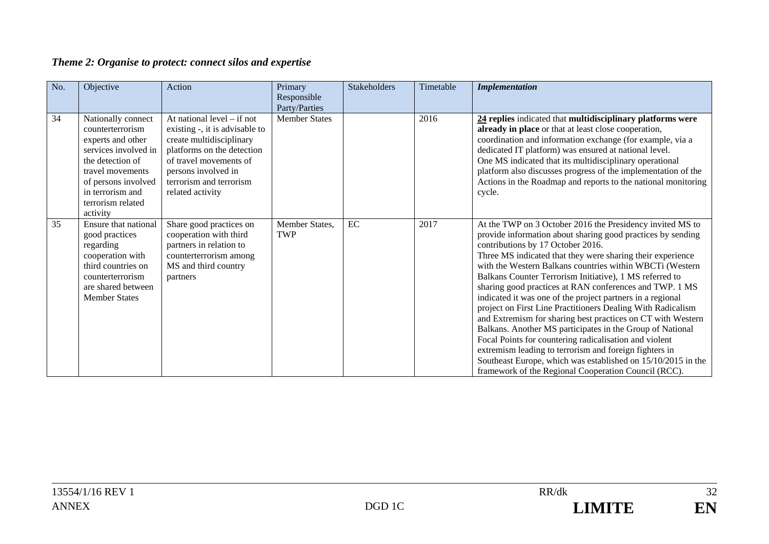# *Theme 2: Organise to protect: connect silos and expertise*

| No. | Objective                                                                                                                                                                                               | Action                                                                                                                                                                                                                   | Primary<br>Responsible<br>Party/Parties | Stakeholders | Timetable | <b>Implementation</b>                                                                                                                                                                                                                                                                                                                                                                                                                                                                                                                                                                                                                                                                                                                                                                                                                                                                                              |
|-----|---------------------------------------------------------------------------------------------------------------------------------------------------------------------------------------------------------|--------------------------------------------------------------------------------------------------------------------------------------------------------------------------------------------------------------------------|-----------------------------------------|--------------|-----------|--------------------------------------------------------------------------------------------------------------------------------------------------------------------------------------------------------------------------------------------------------------------------------------------------------------------------------------------------------------------------------------------------------------------------------------------------------------------------------------------------------------------------------------------------------------------------------------------------------------------------------------------------------------------------------------------------------------------------------------------------------------------------------------------------------------------------------------------------------------------------------------------------------------------|
| 34  | Nationally connect<br>counterterrorism<br>experts and other<br>services involved in<br>the detection of<br>travel movements<br>of persons involved<br>in terrorism and<br>terrorism related<br>activity | At national level $-$ if not<br>existing -, it is advisable to<br>create multidisciplinary<br>platforms on the detection<br>of travel movements of<br>persons involved in<br>terrorism and terrorism<br>related activity | <b>Member States</b>                    |              | 2016      | 24 replies indicated that multidisciplinary platforms were<br>already in place or that at least close cooperation,<br>coordination and information exchange (for example, via a<br>dedicated IT platform) was ensured at national level.<br>One MS indicated that its multidisciplinary operational<br>platform also discusses progress of the implementation of the<br>Actions in the Roadmap and reports to the national monitoring<br>cycle.                                                                                                                                                                                                                                                                                                                                                                                                                                                                    |
| 35  | Ensure that national<br>good practices<br>regarding<br>cooperation with<br>third countries on<br>counterterrorism<br>are shared between<br><b>Member States</b>                                         | Share good practices on<br>cooperation with third<br>partners in relation to<br>counterterrorism among<br>MS and third country<br>partners                                                                               | Member States,<br><b>TWP</b>            | EC           | 2017      | At the TWP on 3 October 2016 the Presidency invited MS to<br>provide information about sharing good practices by sending<br>contributions by 17 October 2016.<br>Three MS indicated that they were sharing their experience<br>with the Western Balkans countries within WBCTi (Western<br>Balkans Counter Terrorism Initiative), 1 MS referred to<br>sharing good practices at RAN conferences and TWP. 1 MS<br>indicated it was one of the project partners in a regional<br>project on First Line Practitioners Dealing With Radicalism<br>and Extremism for sharing best practices on CT with Western<br>Balkans. Another MS participates in the Group of National<br>Focal Points for countering radicalisation and violent<br>extremism leading to terrorism and foreign fighters in<br>Southeast Europe, which was established on 15/10/2015 in the<br>framework of the Regional Cooperation Council (RCC). |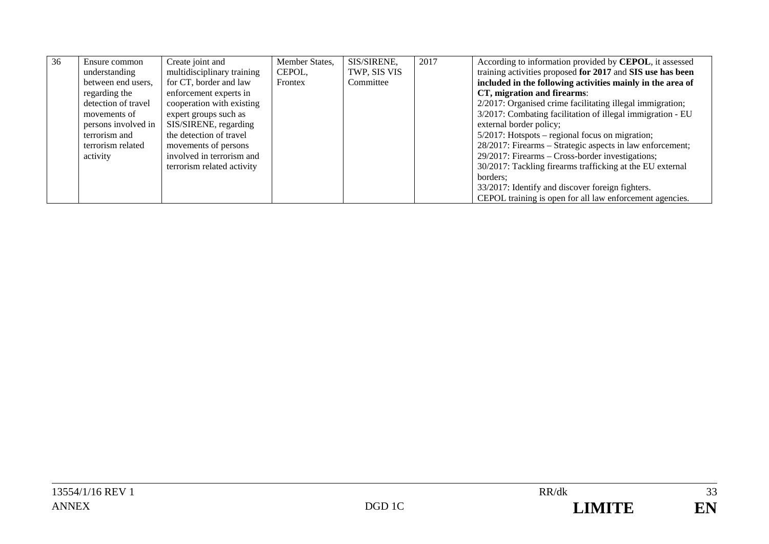| 36 | Ensure common       | Create joint and<br>multidisciplinary training | Member States, | SIS/SIRENE,<br>TWP, SIS VIS | 2017 | According to information provided by CEPOL, it assessed<br>training activities proposed for 2017 and SIS use has been |
|----|---------------------|------------------------------------------------|----------------|-----------------------------|------|-----------------------------------------------------------------------------------------------------------------------|
|    | understanding       |                                                | CEPOL,         |                             |      |                                                                                                                       |
|    | between end users,  | for CT, border and law                         | Frontex        | Committee                   |      | included in the following activities mainly in the area of                                                            |
|    | regarding the       | enforcement experts in                         |                |                             |      | CT, migration and firearms:                                                                                           |
|    | detection of travel | cooperation with existing                      |                |                             |      | 2/2017: Organised crime facilitating illegal immigration;                                                             |
|    | movements of        | expert groups such as                          |                |                             |      | 3/2017: Combating facilitation of illegal immigration - EU                                                            |
|    | persons involved in | SIS/SIRENE, regarding                          |                |                             |      | external border policy;                                                                                               |
|    | terrorism and       | the detection of travel                        |                |                             |      | 5/2017: Hotspots – regional focus on migration;                                                                       |
|    | terrorism related   | movements of persons                           |                |                             |      | 28/2017: Firearms – Strategic aspects in law enforcement;                                                             |
|    | activity            | involved in terrorism and                      |                |                             |      | 29/2017: Firearms – Cross-border investigations;                                                                      |
|    |                     | terrorism related activity                     |                |                             |      | 30/2017: Tackling firearms trafficking at the EU external                                                             |
|    |                     |                                                |                |                             |      | borders:                                                                                                              |
|    |                     |                                                |                |                             |      | 33/2017: Identify and discover foreign fighters.                                                                      |
|    |                     |                                                |                |                             |      | CEPOL training is open for all law enforcement agencies.                                                              |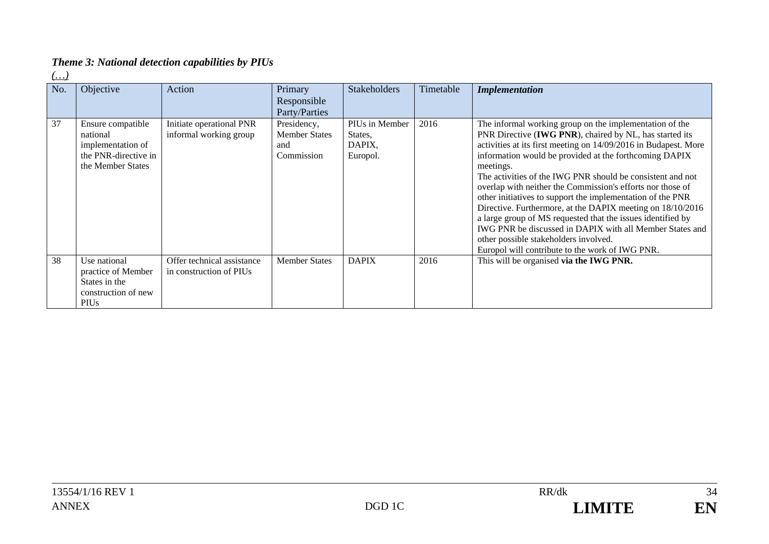# *Theme 3: National detection capabilities by PIUs*

*(…)* 

| No. | Objective                                                                                       | Action                                                | Primary<br>Responsible<br>Party/Parties                  | <b>Stakeholders</b>                             | Timetable | <b>Implementation</b>                                                                                                                                                                                                                                                                                                                                                                                                                                                                                                                                                                                                                                                                                                                       |
|-----|-------------------------------------------------------------------------------------------------|-------------------------------------------------------|----------------------------------------------------------|-------------------------------------------------|-----------|---------------------------------------------------------------------------------------------------------------------------------------------------------------------------------------------------------------------------------------------------------------------------------------------------------------------------------------------------------------------------------------------------------------------------------------------------------------------------------------------------------------------------------------------------------------------------------------------------------------------------------------------------------------------------------------------------------------------------------------------|
| 37  | Ensure compatible<br>national<br>implementation of<br>the PNR-directive in<br>the Member States | Initiate operational PNR<br>informal working group    | Presidency,<br><b>Member States</b><br>and<br>Commission | PIUs in Member<br>States,<br>DAPIX.<br>Europol. | 2016      | The informal working group on the implementation of the<br>PNR Directive (IWG PNR), chaired by NL, has started its<br>activities at its first meeting on 14/09/2016 in Budapest. More<br>information would be provided at the forthcoming DAPIX<br>meetings.<br>The activities of the IWG PNR should be consistent and not<br>overlap with neither the Commission's efforts nor those of<br>other initiatives to support the implementation of the PNR<br>Directive. Furthermore, at the DAPIX meeting on 18/10/2016<br>a large group of MS requested that the issues identified by<br>IWG PNR be discussed in DAPIX with all Member States and<br>other possible stakeholders involved.<br>Europol will contribute to the work of IWG PNR. |
| 38  | Use national<br>practice of Member<br>States in the<br>construction of new<br>PIU <sub>s</sub>  | Offer technical assistance<br>in construction of PIUs | <b>Member States</b>                                     | <b>DAPIX</b>                                    | 2016      | This will be organised via the IWG PNR.                                                                                                                                                                                                                                                                                                                                                                                                                                                                                                                                                                                                                                                                                                     |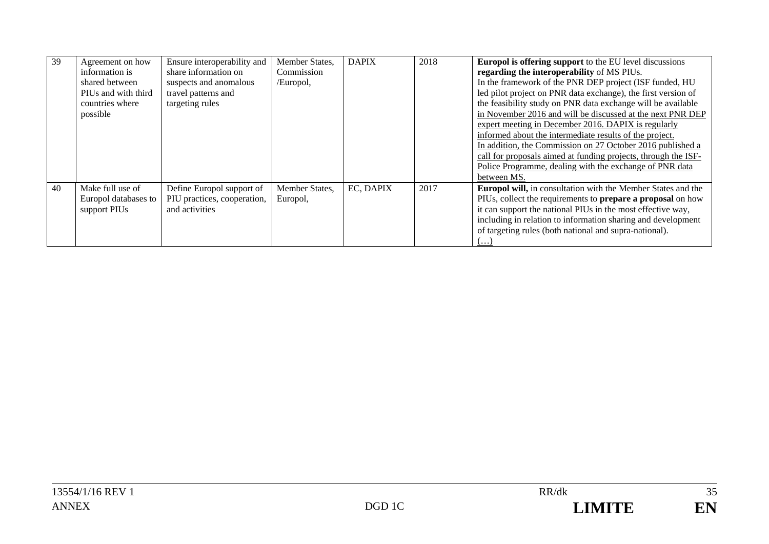| 39 | Agreement on how<br>information is<br>shared between<br>PIUs and with third<br>countries where<br>possible | Ensure interoperability and<br>share information on<br>suspects and anomalous<br>travel patterns and<br>targeting rules | Member States.<br>Commission<br>/Europol, | <b>DAPIX</b> | 2018 | <b>Europol is offering support</b> to the EU level discussions<br>regarding the interoperability of MS PIUs.<br>In the framework of the PNR DEP project (ISF funded, HU<br>led pilot project on PNR data exchange), the first version of<br>the feasibility study on PNR data exchange will be available<br>in November 2016 and will be discussed at the next PNR DEP<br>expert meeting in December 2016. DAPIX is regularly<br>informed about the intermediate results of the project.<br>In addition, the Commission on 27 October 2016 published a<br>call for proposals aimed at funding projects, through the ISF-<br>Police Programme, dealing with the exchange of PNR data<br>between MS. |
|----|------------------------------------------------------------------------------------------------------------|-------------------------------------------------------------------------------------------------------------------------|-------------------------------------------|--------------|------|----------------------------------------------------------------------------------------------------------------------------------------------------------------------------------------------------------------------------------------------------------------------------------------------------------------------------------------------------------------------------------------------------------------------------------------------------------------------------------------------------------------------------------------------------------------------------------------------------------------------------------------------------------------------------------------------------|
| 40 | Make full use of<br>Europol databases to<br>support PIUs                                                   | Define Europol support of<br>PIU practices, cooperation,<br>and activities                                              | Member States,<br>Europol,                | EC, DAPIX    | 2017 | Europol will, in consultation with the Member States and the<br>PIUs, collect the requirements to <b>prepare a proposal</b> on how<br>it can support the national PIUs in the most effective way,<br>including in relation to information sharing and development<br>of targeting rules (both national and supra-national).<br><b></b>                                                                                                                                                                                                                                                                                                                                                             |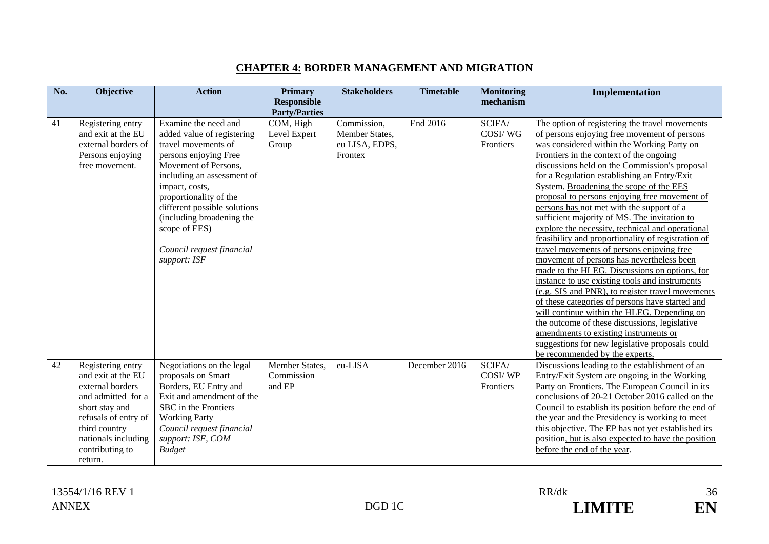### **CHAPTER 4: BORDER MANAGEMENT AND MIGRATION**

| No. | Objective                              | <b>Action</b>                                             | <b>Primary</b>               | <b>Stakeholders</b> | <b>Timetable</b> | <b>Monitoring</b> | Implementation                                                                                  |
|-----|----------------------------------------|-----------------------------------------------------------|------------------------------|---------------------|------------------|-------------------|-------------------------------------------------------------------------------------------------|
|     |                                        |                                                           | <b>Responsible</b>           |                     |                  | mechanism         |                                                                                                 |
|     |                                        |                                                           | <b>Party/Parties</b>         |                     |                  |                   |                                                                                                 |
| 41  | Registering entry                      | Examine the need and                                      | COM, High                    | Commission,         | End 2016         | SCIFA/            | The option of registering the travel movements                                                  |
|     | and exit at the EU                     | added value of registering                                | Level Expert                 | Member States,      |                  | COSI/WG           | of persons enjoying free movement of persons                                                    |
|     | external borders of                    | travel movements of                                       | Group                        | eu LISA, EDPS,      |                  | Frontiers         | was considered within the Working Party on                                                      |
|     | Persons enjoying                       | persons enjoying Free                                     |                              | Frontex             |                  |                   | Frontiers in the context of the ongoing                                                         |
|     | free movement.                         | Movement of Persons,                                      |                              |                     |                  |                   | discussions held on the Commission's proposal                                                   |
|     |                                        | including an assessment of                                |                              |                     |                  |                   | for a Regulation establishing an Entry/Exit                                                     |
|     |                                        | impact, costs,                                            |                              |                     |                  |                   | System. Broadening the scope of the EES<br>proposal to persons enjoying free movement of        |
|     |                                        | proportionality of the                                    |                              |                     |                  |                   | persons has not met with the support of a                                                       |
|     |                                        | different possible solutions<br>(including broadening the |                              |                     |                  |                   | sufficient majority of MS. The invitation to                                                    |
|     |                                        | scope of EES)                                             |                              |                     |                  |                   | explore the necessity, technical and operational                                                |
|     |                                        |                                                           |                              |                     |                  |                   | feasibility and proportionality of registration of                                              |
|     |                                        | Council request financial                                 |                              |                     |                  |                   | travel movements of persons enjoying free                                                       |
|     |                                        | support: ISF                                              |                              |                     |                  |                   | movement of persons has nevertheless been                                                       |
|     |                                        |                                                           |                              |                     |                  |                   | made to the HLEG. Discussions on options, for                                                   |
|     |                                        |                                                           |                              |                     |                  |                   | instance to use existing tools and instruments                                                  |
|     |                                        |                                                           |                              |                     |                  |                   | (e.g. SIS and PNR), to register travel movements                                                |
|     |                                        |                                                           |                              |                     |                  |                   | of these categories of persons have started and                                                 |
|     |                                        |                                                           |                              |                     |                  |                   | will continue within the HLEG. Depending on                                                     |
|     |                                        |                                                           |                              |                     |                  |                   | the outcome of these discussions, legislative                                                   |
|     |                                        |                                                           |                              |                     |                  |                   | amendments to existing instruments or                                                           |
|     |                                        |                                                           |                              |                     |                  |                   | suggestions for new legislative proposals could                                                 |
|     |                                        |                                                           |                              |                     |                  |                   | be recommended by the experts.                                                                  |
| 42  | Registering entry                      | Negotiations on the legal                                 | Member States,<br>Commission | eu-LISA             | December 2016    | SCIFA/<br>COSI/WP | Discussions leading to the establishment of an                                                  |
|     | and exit at the EU<br>external borders | proposals on Smart<br>Borders, EU Entry and               | and EP                       |                     |                  | Frontiers         | Entry/Exit System are ongoing in the Working<br>Party on Frontiers. The European Council in its |
|     | and admitted for a                     | Exit and amendment of the                                 |                              |                     |                  |                   | conclusions of 20-21 October 2016 called on the                                                 |
|     | short stay and                         | SBC in the Frontiers                                      |                              |                     |                  |                   | Council to establish its position before the end of                                             |
|     | refusals of entry of                   | <b>Working Party</b>                                      |                              |                     |                  |                   | the year and the Presidency is working to meet                                                  |
|     | third country                          | Council request financial                                 |                              |                     |                  |                   | this objective. The EP has not yet established its                                              |
|     | nationals including                    | support: ISF, COM                                         |                              |                     |                  |                   | position, but is also expected to have the position                                             |
|     | contributing to                        | <b>Budget</b>                                             |                              |                     |                  |                   | before the end of the year.                                                                     |
|     | return.                                |                                                           |                              |                     |                  |                   |                                                                                                 |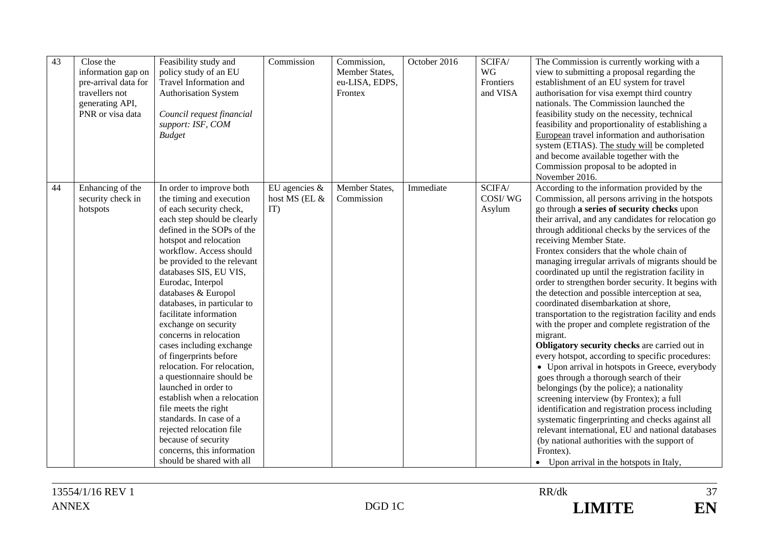| 43 | Close the<br>information gap on<br>pre-arrival data for<br>travellers not<br>generating API,<br>PNR or visa data | Feasibility study and<br>policy study of an EU<br>Travel Information and<br><b>Authorisation System</b><br>Council request financial<br>support: ISF, COM<br><b>Budget</b>                                                                                                                                                                                                                                                                                                                                                                                                                                                                                                                                                                                  | Commission                               | Commission,<br>Member States,<br>eu-LISA, EDPS,<br>Frontex | October 2016 | SCIFA/<br>WG<br>Frontiers<br>and VISA | The Commission is currently working with a<br>view to submitting a proposal regarding the<br>establishment of an EU system for travel<br>authorisation for visa exempt third country<br>nationals. The Commission launched the<br>feasibility study on the necessity, technical<br>feasibility and proportionality of establishing a<br>European travel information and authorisation<br>system (ETIAS). The study will be completed<br>and become available together with the<br>Commission proposal to be adopted in<br>November 2016.                                                                                                                                                                                                                                                                                                                                                                                                                                                                                                                                                                                                                                                                                                                                                  |
|----|------------------------------------------------------------------------------------------------------------------|-------------------------------------------------------------------------------------------------------------------------------------------------------------------------------------------------------------------------------------------------------------------------------------------------------------------------------------------------------------------------------------------------------------------------------------------------------------------------------------------------------------------------------------------------------------------------------------------------------------------------------------------------------------------------------------------------------------------------------------------------------------|------------------------------------------|------------------------------------------------------------|--------------|---------------------------------------|-------------------------------------------------------------------------------------------------------------------------------------------------------------------------------------------------------------------------------------------------------------------------------------------------------------------------------------------------------------------------------------------------------------------------------------------------------------------------------------------------------------------------------------------------------------------------------------------------------------------------------------------------------------------------------------------------------------------------------------------------------------------------------------------------------------------------------------------------------------------------------------------------------------------------------------------------------------------------------------------------------------------------------------------------------------------------------------------------------------------------------------------------------------------------------------------------------------------------------------------------------------------------------------------|
| 44 | Enhancing of the<br>security check in<br>hotspots                                                                | In order to improve both<br>the timing and execution<br>of each security check,<br>each step should be clearly<br>defined in the SOPs of the<br>hotspot and relocation<br>workflow. Access should<br>be provided to the relevant<br>databases SIS, EU VIS,<br>Eurodac, Interpol<br>databases & Europol<br>databases, in particular to<br>facilitate information<br>exchange on security<br>concerns in relocation<br>cases including exchange<br>of fingerprints before<br>relocation. For relocation,<br>a questionnaire should be<br>launched in order to<br>establish when a relocation<br>file meets the right<br>standards. In case of a<br>rejected relocation file<br>because of security<br>concerns, this information<br>should be shared with all | EU agencies $\&$<br>host MS (EL &<br>IT) | Member States,<br>Commission                               | Immediate    | SCIFA/<br>COSI/WG<br>Asylum           | According to the information provided by the<br>Commission, all persons arriving in the hotspots<br>go through a series of security checks upon<br>their arrival, and any candidates for relocation go<br>through additional checks by the services of the<br>receiving Member State.<br>Frontex considers that the whole chain of<br>managing irregular arrivals of migrants should be<br>coordinated up until the registration facility in<br>order to strengthen border security. It begins with<br>the detection and possible interception at sea,<br>coordinated disembarkation at shore,<br>transportation to the registration facility and ends<br>with the proper and complete registration of the<br>migrant.<br>Obligatory security checks are carried out in<br>every hotspot, according to specific procedures:<br>• Upon arrival in hotspots in Greece, everybody<br>goes through a thorough search of their<br>belongings (by the police); a nationality<br>screening interview (by Frontex); a full<br>identification and registration process including<br>systematic fingerprinting and checks against all<br>relevant international, EU and national databases<br>(by national authorities with the support of<br>Frontex).<br>• Upon arrival in the hotspots in Italy, |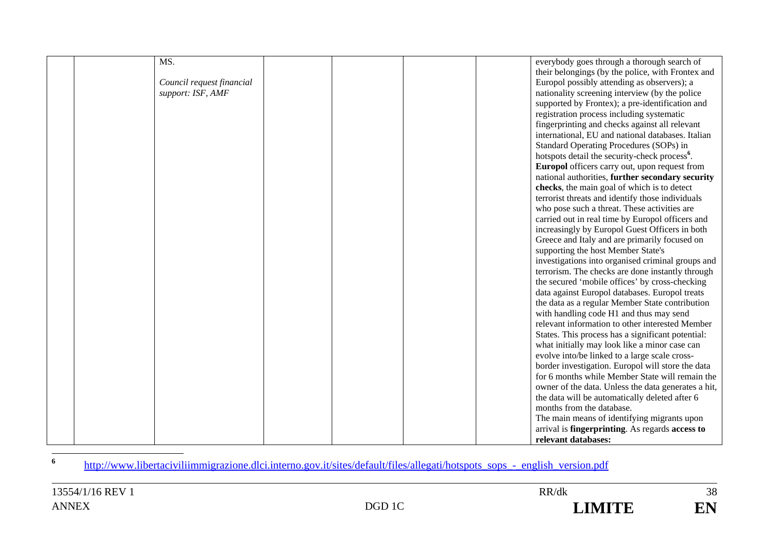| MS.                       |  | everybody goes through a thorough search of               |
|---------------------------|--|-----------------------------------------------------------|
|                           |  | their belongings (by the police, with Frontex and         |
| Council request financial |  | Europol possibly attending as observers); a               |
| support: ISF, AMF         |  | nationality screening interview (by the police            |
|                           |  | supported by Frontex); a pre-identification and           |
|                           |  | registration process including systematic                 |
|                           |  | fingerprinting and checks against all relevant            |
|                           |  | international, EU and national databases. Italian         |
|                           |  | Standard Operating Procedures (SOPs) in                   |
|                           |  | hotspots detail the security-check process <sup>6</sup> . |
|                           |  | Europol officers carry out, upon request from             |
|                           |  | national authorities, further secondary security          |
|                           |  | checks, the main goal of which is to detect               |
|                           |  | terrorist threats and identify those individuals          |
|                           |  | who pose such a threat. These activities are              |
|                           |  | carried out in real time by Europol officers and          |
|                           |  | increasingly by Europol Guest Officers in both            |
|                           |  | Greece and Italy and are primarily focused on             |
|                           |  | supporting the host Member State's                        |
|                           |  | investigations into organised criminal groups and         |
|                           |  | terrorism. The checks are done instantly through          |
|                           |  | the secured 'mobile offices' by cross-checking            |
|                           |  | data against Europol databases. Europol treats            |
|                           |  | the data as a regular Member State contribution           |
|                           |  | with handling code H1 and thus may send                   |
|                           |  | relevant information to other interested Member           |
|                           |  | States. This process has a significant potential:         |
|                           |  | what initially may look like a minor case can             |
|                           |  | evolve into/be linked to a large scale cross-             |
|                           |  | border investigation. Europol will store the data         |
|                           |  | for 6 months while Member State will remain the           |
|                           |  | owner of the data. Unless the data generates a hit,       |
|                           |  | the data will be automatically deleted after 6            |
|                           |  | months from the database.                                 |
|                           |  | The main means of identifying migrants upon               |
|                           |  | arrival is <b>fingerprinting</b> . As regards access to   |
|                           |  | relevant databases:                                       |

http://www.libertaciviliimmigrazione.dlci.interno.gov.it/sites/default/files/allegati/hotspots\_sops\_-\_english\_version.pdf

**6**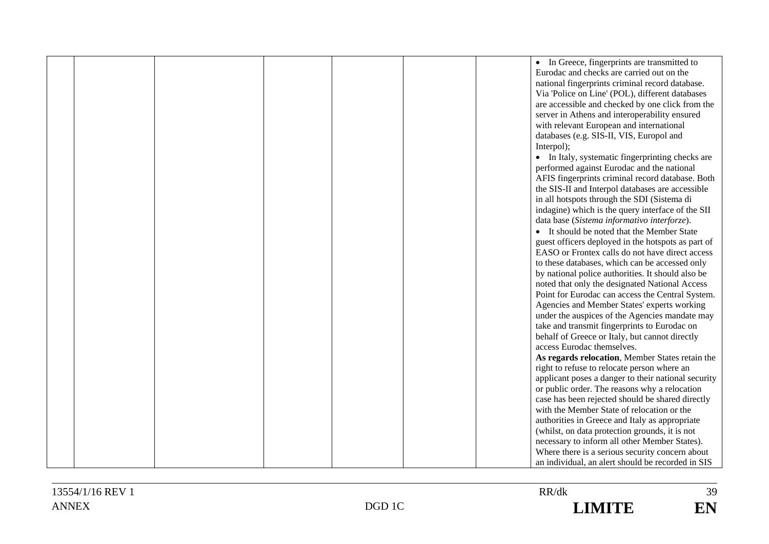|  |  |  | • In Greece, fingerprints are transmitted to        |
|--|--|--|-----------------------------------------------------|
|  |  |  | Eurodac and checks are carried out on the           |
|  |  |  | national fingerprints criminal record database.     |
|  |  |  | Via 'Police on Line' (POL), different databases     |
|  |  |  | are accessible and checked by one click from the    |
|  |  |  | server in Athens and interoperability ensured       |
|  |  |  | with relevant European and international            |
|  |  |  | databases (e.g. SIS-II, VIS, Europol and            |
|  |  |  | Interpol);                                          |
|  |  |  | • In Italy, systematic fingerprinting checks are    |
|  |  |  | performed against Eurodac and the national          |
|  |  |  | AFIS fingerprints criminal record database. Both    |
|  |  |  | the SIS-II and Interpol databases are accessible    |
|  |  |  | in all hotspots through the SDI (Sistema di         |
|  |  |  | indagine) which is the query interface of the SII   |
|  |  |  | data base (Sistema informativo interforze).         |
|  |  |  | • It should be noted that the Member State          |
|  |  |  | guest officers deployed in the hotspots as part of  |
|  |  |  | EASO or Frontex calls do not have direct access     |
|  |  |  | to these databases, which can be accessed only      |
|  |  |  | by national police authorities. It should also be   |
|  |  |  | noted that only the designated National Access      |
|  |  |  | Point for Eurodac can access the Central System.    |
|  |  |  | Agencies and Member States' experts working         |
|  |  |  | under the auspices of the Agencies mandate may      |
|  |  |  | take and transmit fingerprints to Eurodac on        |
|  |  |  | behalf of Greece or Italy, but cannot directly      |
|  |  |  | access Eurodac themselves.                          |
|  |  |  | As regards relocation, Member States retain the     |
|  |  |  | right to refuse to relocate person where an         |
|  |  |  | applicant poses a danger to their national security |
|  |  |  | or public order. The reasons why a relocation       |
|  |  |  | case has been rejected should be shared directly    |
|  |  |  | with the Member State of relocation or the          |
|  |  |  | authorities in Greece and Italy as appropriate      |
|  |  |  | (whilst, on data protection grounds, it is not      |
|  |  |  | necessary to inform all other Member States).       |
|  |  |  | Where there is a serious security concern about     |
|  |  |  | an individual, an alert should be recorded in SIS   |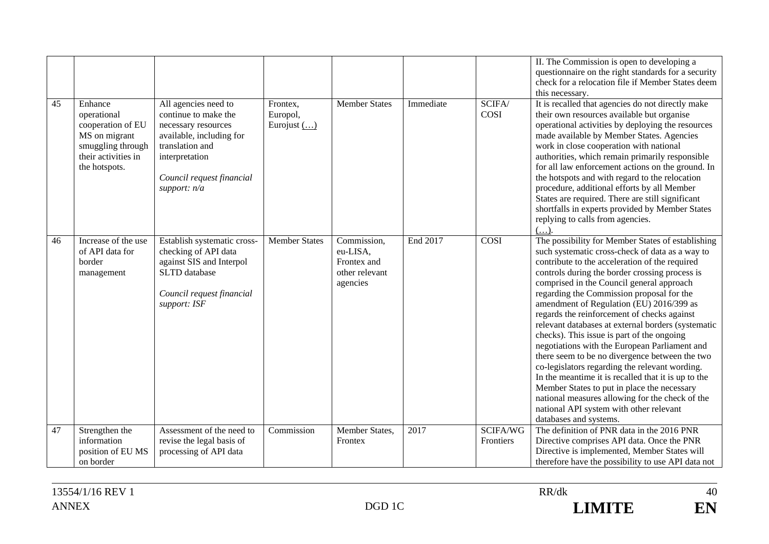|    |                                                                                                                           |                                                                                                                                                                                   |                                             |                                                                      |           |                       | II. The Commission is open to developing a<br>questionnaire on the right standards for a security<br>check for a relocation file if Member States deem<br>this necessary.                                                                                                                                                                                                                                                                                                                                                                                                                                                                                                                                                                                                                                                                                                            |
|----|---------------------------------------------------------------------------------------------------------------------------|-----------------------------------------------------------------------------------------------------------------------------------------------------------------------------------|---------------------------------------------|----------------------------------------------------------------------|-----------|-----------------------|--------------------------------------------------------------------------------------------------------------------------------------------------------------------------------------------------------------------------------------------------------------------------------------------------------------------------------------------------------------------------------------------------------------------------------------------------------------------------------------------------------------------------------------------------------------------------------------------------------------------------------------------------------------------------------------------------------------------------------------------------------------------------------------------------------------------------------------------------------------------------------------|
| 45 | Enhance<br>operational<br>cooperation of EU<br>MS on migrant<br>smuggling through<br>their activities in<br>the hotspots. | All agencies need to<br>continue to make the<br>necessary resources<br>available, including for<br>translation and<br>interpretation<br>Council request financial<br>support: n/a | Frontex,<br>Europol,<br>Eurojust $(\ldots)$ | <b>Member States</b>                                                 | Immediate | SCIFA/<br><b>COSI</b> | It is recalled that agencies do not directly make<br>their own resources available but organise<br>operational activities by deploying the resources<br>made available by Member States. Agencies<br>work in close cooperation with national<br>authorities, which remain primarily responsible<br>for all law enforcement actions on the ground. In<br>the hotspots and with regard to the relocation<br>procedure, additional efforts by all Member<br>States are required. There are still significant<br>shortfalls in experts provided by Member States<br>replying to calls from agencies.                                                                                                                                                                                                                                                                                     |
| 46 | Increase of the use<br>of API data for<br>border<br>management                                                            | Establish systematic cross-<br>checking of API data<br>against SIS and Interpol<br><b>SLTD</b> database<br>Council request financial<br>support: ISF                              | <b>Member States</b>                        | Commission,<br>eu-LISA,<br>Frontex and<br>other relevant<br>agencies | End 2017  | COSI                  | The possibility for Member States of establishing<br>such systematic cross-check of data as a way to<br>contribute to the acceleration of the required<br>controls during the border crossing process is<br>comprised in the Council general approach<br>regarding the Commission proposal for the<br>amendment of Regulation (EU) 2016/399 as<br>regards the reinforcement of checks against<br>relevant databases at external borders (systematic<br>checks). This issue is part of the ongoing<br>negotiations with the European Parliament and<br>there seem to be no divergence between the two<br>co-legislators regarding the relevant wording.<br>In the meantime it is recalled that it is up to the<br>Member States to put in place the necessary<br>national measures allowing for the check of the<br>national API system with other relevant<br>databases and systems. |
| 47 | Strengthen the<br>information<br>position of EU MS<br>on border                                                           | Assessment of the need to<br>revise the legal basis of<br>processing of API data                                                                                                  | Commission                                  | Member States,<br>Frontex                                            | 2017      | SCIFA/WG<br>Frontiers | The definition of PNR data in the 2016 PNR<br>Directive comprises API data. Once the PNR<br>Directive is implemented, Member States will<br>therefore have the possibility to use API data not                                                                                                                                                                                                                                                                                                                                                                                                                                                                                                                                                                                                                                                                                       |
|    |                                                                                                                           |                                                                                                                                                                                   |                                             |                                                                      |           |                       |                                                                                                                                                                                                                                                                                                                                                                                                                                                                                                                                                                                                                                                                                                                                                                                                                                                                                      |

 $40\,$ EN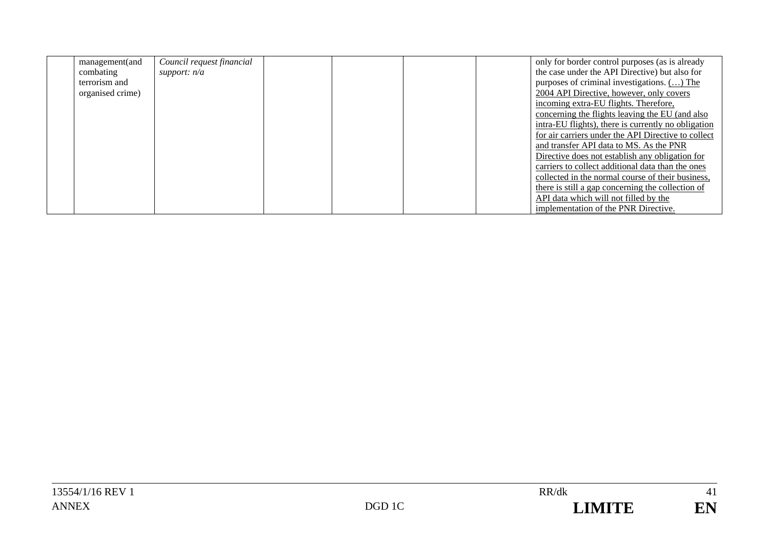| management(and   | Council request financial |  |  | only for border control purposes (as is already     |
|------------------|---------------------------|--|--|-----------------------------------------------------|
| combating        | support: $n/a$            |  |  | the case under the API Directive) but also for      |
| terrorism and    |                           |  |  | purposes of criminal investigations. () The         |
| organised crime) |                           |  |  | 2004 API Directive, however, only covers            |
|                  |                           |  |  | incoming extra-EU flights. Therefore,               |
|                  |                           |  |  | concerning the flights leaving the EU (and also     |
|                  |                           |  |  | intra-EU flights), there is currently no obligation |
|                  |                           |  |  | for air carriers under the API Directive to collect |
|                  |                           |  |  | and transfer API data to MS. As the PNR             |
|                  |                           |  |  | Directive does not establish any obligation for     |
|                  |                           |  |  | carriers to collect additional data than the ones   |
|                  |                           |  |  | collected in the normal course of their business,   |
|                  |                           |  |  | there is still a gap concerning the collection of   |
|                  |                           |  |  | API data which will not filled by the               |
|                  |                           |  |  | implementation of the PNR Directive.                |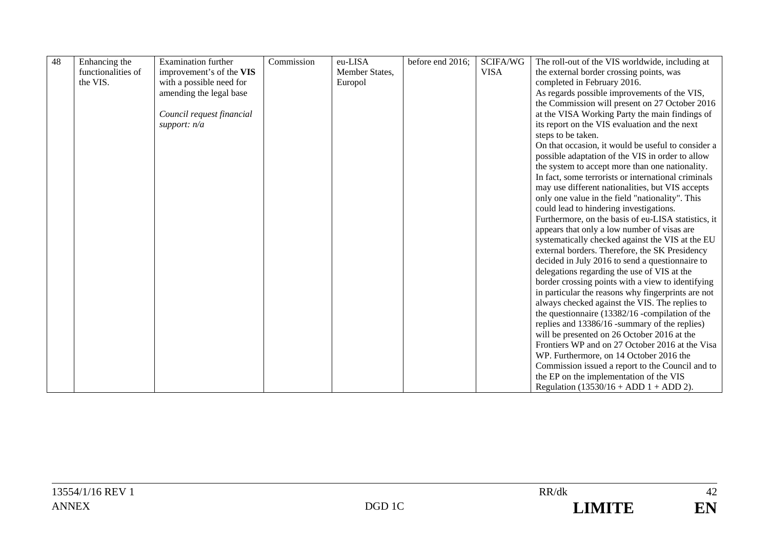| 48 | Enhancing the      | Examination further       | Commission | eu-LISA        | before end 2016; | SCIFA/WG    | The roll-out of the VIS worldwide, including at     |
|----|--------------------|---------------------------|------------|----------------|------------------|-------------|-----------------------------------------------------|
|    | functionalities of | improvement's of the VIS  |            | Member States, |                  | <b>VISA</b> | the external border crossing points, was            |
|    | the VIS.           | with a possible need for  |            | Europol        |                  |             | completed in February 2016.                         |
|    |                    | amending the legal base   |            |                |                  |             | As regards possible improvements of the VIS,        |
|    |                    |                           |            |                |                  |             |                                                     |
|    |                    |                           |            |                |                  |             | the Commission will present on 27 October 2016      |
|    |                    | Council request financial |            |                |                  |             | at the VISA Working Party the main findings of      |
|    |                    | support: $n/a$            |            |                |                  |             | its report on the VIS evaluation and the next       |
|    |                    |                           |            |                |                  |             | steps to be taken.                                  |
|    |                    |                           |            |                |                  |             | On that occasion, it would be useful to consider a  |
|    |                    |                           |            |                |                  |             | possible adaptation of the VIS in order to allow    |
|    |                    |                           |            |                |                  |             | the system to accept more than one nationality.     |
|    |                    |                           |            |                |                  |             | In fact, some terrorists or international criminals |
|    |                    |                           |            |                |                  |             | may use different nationalities, but VIS accepts    |
|    |                    |                           |            |                |                  |             | only one value in the field "nationality". This     |
|    |                    |                           |            |                |                  |             | could lead to hindering investigations.             |
|    |                    |                           |            |                |                  |             | Furthermore, on the basis of eu-LISA statistics, it |
|    |                    |                           |            |                |                  |             | appears that only a low number of visas are         |
|    |                    |                           |            |                |                  |             | systematically checked against the VIS at the EU    |
|    |                    |                           |            |                |                  |             | external borders. Therefore, the SK Presidency      |
|    |                    |                           |            |                |                  |             | decided in July 2016 to send a questionnaire to     |
|    |                    |                           |            |                |                  |             | delegations regarding the use of VIS at the         |
|    |                    |                           |            |                |                  |             | border crossing points with a view to identifying   |
|    |                    |                           |            |                |                  |             | in particular the reasons why fingerprints are not  |
|    |                    |                           |            |                |                  |             | always checked against the VIS. The replies to      |
|    |                    |                           |            |                |                  |             | the questionnaire (13382/16 -compilation of the     |
|    |                    |                           |            |                |                  |             | replies and 13386/16 -summary of the replies)       |
|    |                    |                           |            |                |                  |             | will be presented on 26 October 2016 at the         |
|    |                    |                           |            |                |                  |             | Frontiers WP and on 27 October 2016 at the Visa     |
|    |                    |                           |            |                |                  |             | WP. Furthermore, on 14 October 2016 the             |
|    |                    |                           |            |                |                  |             | Commission issued a report to the Council and to    |
|    |                    |                           |            |                |                  |             | the EP on the implementation of the VIS             |
|    |                    |                           |            |                |                  |             | Regulation $(13530/16 + ADD 1 + ADD 2)$ .           |